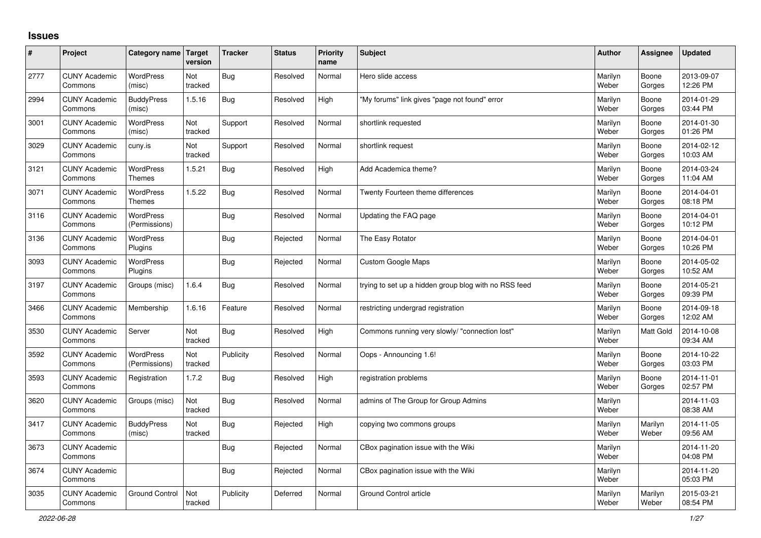## **Issues**

| #    | Project                         | Category name Target              | version        | <b>Tracker</b> | <b>Status</b> | <b>Priority</b><br>name | <b>Subject</b>                                        | <b>Author</b>    | Assignee         | <b>Updated</b>         |
|------|---------------------------------|-----------------------------------|----------------|----------------|---------------|-------------------------|-------------------------------------------------------|------------------|------------------|------------------------|
| 2777 | <b>CUNY Academic</b><br>Commons | <b>WordPress</b><br>(misc)        | Not<br>tracked | Bug            | Resolved      | Normal                  | Hero slide access                                     | Marilyn<br>Weber | Boone<br>Gorges  | 2013-09-07<br>12:26 PM |
| 2994 | <b>CUNY Academic</b><br>Commons | <b>BuddyPress</b><br>(misc)       | 1.5.16         | Bug            | Resolved      | High                    | 'My forums" link gives "page not found" error         | Marilyn<br>Weber | Boone<br>Gorges  | 2014-01-29<br>03:44 PM |
| 3001 | <b>CUNY Academic</b><br>Commons | <b>WordPress</b><br>(misc)        | Not<br>tracked | Support        | Resolved      | Normal                  | shortlink requested                                   | Marilyn<br>Weber | Boone<br>Gorges  | 2014-01-30<br>01:26 PM |
| 3029 | <b>CUNY Academic</b><br>Commons | cuny.is                           | Not<br>tracked | Support        | Resolved      | Normal                  | shortlink request                                     | Marilyn<br>Weber | Boone<br>Gorges  | 2014-02-12<br>10:03 AM |
| 3121 | <b>CUNY Academic</b><br>Commons | <b>WordPress</b><br><b>Themes</b> | 1.5.21         | Bug            | Resolved      | High                    | Add Academica theme?                                  | Marilyn<br>Weber | Boone<br>Gorges  | 2014-03-24<br>11:04 AM |
| 3071 | <b>CUNY Academic</b><br>Commons | WordPress<br><b>Themes</b>        | 1.5.22         | Bug            | Resolved      | Normal                  | Twenty Fourteen theme differences                     | Marilyn<br>Weber | Boone<br>Gorges  | 2014-04-01<br>08:18 PM |
| 3116 | <b>CUNY Academic</b><br>Commons | <b>WordPress</b><br>(Permissions) |                | Bug            | Resolved      | Normal                  | Updating the FAQ page                                 | Marilyn<br>Weber | Boone<br>Gorges  | 2014-04-01<br>10:12 PM |
| 3136 | <b>CUNY Academic</b><br>Commons | <b>WordPress</b><br>Plugins       |                | Bug            | Rejected      | Normal                  | The Easy Rotator                                      | Marilyn<br>Weber | Boone<br>Gorges  | 2014-04-01<br>10:26 PM |
| 3093 | <b>CUNY Academic</b><br>Commons | <b>WordPress</b><br>Plugins       |                | Bug            | Rejected      | Normal                  | <b>Custom Google Maps</b>                             | Marilyn<br>Weber | Boone<br>Gorges  | 2014-05-02<br>10:52 AM |
| 3197 | <b>CUNY Academic</b><br>Commons | Groups (misc)                     | 1.6.4          | Bug            | Resolved      | Normal                  | trying to set up a hidden group blog with no RSS feed | Marilyn<br>Weber | Boone<br>Gorges  | 2014-05-21<br>09:39 PM |
| 3466 | <b>CUNY Academic</b><br>Commons | Membership                        | 1.6.16         | Feature        | Resolved      | Normal                  | restricting undergrad registration                    | Marilyn<br>Weber | Boone<br>Gorges  | 2014-09-18<br>12:02 AM |
| 3530 | <b>CUNY Academic</b><br>Commons | Server                            | Not<br>tracked | Bug            | Resolved      | High                    | Commons running very slowly/ "connection lost"        | Marilyn<br>Weber | <b>Matt Gold</b> | 2014-10-08<br>09:34 AM |
| 3592 | <b>CUNY Academic</b><br>Commons | WordPress<br>(Permissions)        | Not<br>tracked | Publicity      | Resolved      | Normal                  | Oops - Announcing 1.6!                                | Marilyn<br>Weber | Boone<br>Gorges  | 2014-10-22<br>03:03 PM |
| 3593 | <b>CUNY Academic</b><br>Commons | Registration                      | 1.7.2          | Bug            | Resolved      | High                    | registration problems                                 | Marilyn<br>Weber | Boone<br>Gorges  | 2014-11-01<br>02:57 PM |
| 3620 | <b>CUNY Academic</b><br>Commons | Groups (misc)                     | Not<br>tracked | Bug            | Resolved      | Normal                  | admins of The Group for Group Admins                  | Marilyn<br>Weber |                  | 2014-11-03<br>08:38 AM |
| 3417 | <b>CUNY Academic</b><br>Commons | <b>BuddyPress</b><br>(misc)       | Not<br>tracked | Bug            | Rejected      | High                    | copying two commons groups                            | Marilyn<br>Weber | Marilyn<br>Weber | 2014-11-05<br>09:56 AM |
| 3673 | <b>CUNY Academic</b><br>Commons |                                   |                | Bug            | Rejected      | Normal                  | CBox pagination issue with the Wiki                   | Marilyn<br>Weber |                  | 2014-11-20<br>04:08 PM |
| 3674 | <b>CUNY Academic</b><br>Commons |                                   |                | Bug            | Rejected      | Normal                  | CBox pagination issue with the Wiki                   | Marilyn<br>Weber |                  | 2014-11-20<br>05:03 PM |
| 3035 | <b>CUNY Academic</b><br>Commons | <b>Ground Control</b>             | Not<br>tracked | Publicity      | Deferred      | Normal                  | Ground Control article                                | Marilyn<br>Weber | Marilyn<br>Weber | 2015-03-21<br>08:54 PM |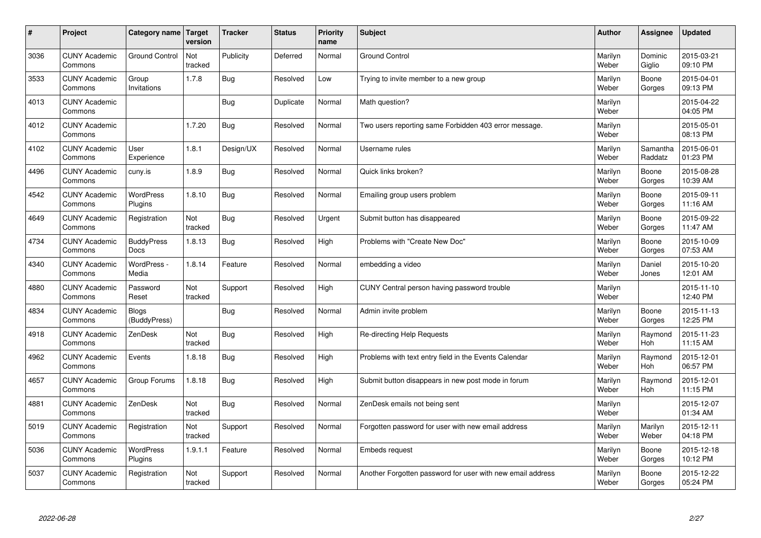| $\sharp$ | Project                         | Category name                | <b>Target</b><br>version | <b>Tracker</b> | <b>Status</b> | <b>Priority</b><br>name | <b>Subject</b>                                             | <b>Author</b>    | Assignee            | <b>Updated</b>         |
|----------|---------------------------------|------------------------------|--------------------------|----------------|---------------|-------------------------|------------------------------------------------------------|------------------|---------------------|------------------------|
| 3036     | <b>CUNY Academic</b><br>Commons | <b>Ground Control</b>        | Not<br>tracked           | Publicity      | Deferred      | Normal                  | <b>Ground Control</b>                                      | Marilyn<br>Weber | Dominic<br>Giglio   | 2015-03-21<br>09:10 PM |
| 3533     | <b>CUNY Academic</b><br>Commons | Group<br>Invitations         | 1.7.8                    | <b>Bug</b>     | Resolved      | Low                     | Trying to invite member to a new group                     | Marilyn<br>Weber | Boone<br>Gorges     | 2015-04-01<br>09:13 PM |
| 4013     | <b>CUNY Academic</b><br>Commons |                              |                          | <b>Bug</b>     | Duplicate     | Normal                  | Math question?                                             | Marilyn<br>Weber |                     | 2015-04-22<br>04:05 PM |
| 4012     | <b>CUNY Academic</b><br>Commons |                              | 1.7.20                   | <b>Bug</b>     | Resolved      | Normal                  | Two users reporting same Forbidden 403 error message.      | Marilyn<br>Weber |                     | 2015-05-01<br>08:13 PM |
| 4102     | <b>CUNY Academic</b><br>Commons | User<br>Experience           | 1.8.1                    | Design/UX      | Resolved      | Normal                  | Username rules                                             | Marilyn<br>Weber | Samantha<br>Raddatz | 2015-06-01<br>01:23 PM |
| 4496     | <b>CUNY Academic</b><br>Commons | cuny.is                      | 1.8.9                    | <b>Bug</b>     | Resolved      | Normal                  | Quick links broken?                                        | Marilyn<br>Weber | Boone<br>Gorges     | 2015-08-28<br>10:39 AM |
| 4542     | <b>CUNY Academic</b><br>Commons | <b>WordPress</b><br>Plugins  | 1.8.10                   | Bug            | Resolved      | Normal                  | Emailing group users problem                               | Marilyn<br>Weber | Boone<br>Gorges     | 2015-09-11<br>11:16 AM |
| 4649     | <b>CUNY Academic</b><br>Commons | Registration                 | Not<br>tracked           | Bug            | Resolved      | Urgent                  | Submit button has disappeared                              | Marilyn<br>Weber | Boone<br>Gorges     | 2015-09-22<br>11:47 AM |
| 4734     | <b>CUNY Academic</b><br>Commons | <b>BuddyPress</b><br>Docs    | 1.8.13                   | Bug            | Resolved      | High                    | Problems with "Create New Doc"                             | Marilyn<br>Weber | Boone<br>Gorges     | 2015-10-09<br>07:53 AM |
| 4340     | <b>CUNY Academic</b><br>Commons | WordPress -<br>Media         | 1.8.14                   | Feature        | Resolved      | Normal                  | embedding a video                                          | Marilyn<br>Weber | Daniel<br>Jones     | 2015-10-20<br>12:01 AM |
| 4880     | <b>CUNY Academic</b><br>Commons | Password<br>Reset            | Not<br>tracked           | Support        | Resolved      | High                    | CUNY Central person having password trouble                | Marilyn<br>Weber |                     | 2015-11-10<br>12:40 PM |
| 4834     | <b>CUNY Academic</b><br>Commons | <b>Blogs</b><br>(BuddyPress) |                          | <b>Bug</b>     | Resolved      | Normal                  | Admin invite problem                                       | Marilyn<br>Weber | Boone<br>Gorges     | 2015-11-13<br>12:25 PM |
| 4918     | <b>CUNY Academic</b><br>Commons | ZenDesk                      | Not<br>tracked           | Bug            | Resolved      | High                    | Re-directing Help Requests                                 | Marilyn<br>Weber | Raymond<br>Hoh      | 2015-11-23<br>11:15 AM |
| 4962     | <b>CUNY Academic</b><br>Commons | Events                       | 1.8.18                   | <b>Bug</b>     | Resolved      | High                    | Problems with text entry field in the Events Calendar      | Marilyn<br>Weber | Raymond<br>Hoh      | 2015-12-01<br>06:57 PM |
| 4657     | <b>CUNY Academic</b><br>Commons | Group Forums                 | 1.8.18                   | <b>Bug</b>     | Resolved      | High                    | Submit button disappears in new post mode in forum         | Marilyn<br>Weber | Raymond<br>Hoh      | 2015-12-01<br>11:15 PM |
| 4881     | <b>CUNY Academic</b><br>Commons | ZenDesk                      | Not<br>tracked           | <b>Bug</b>     | Resolved      | Normal                  | ZenDesk emails not being sent                              | Marilyn<br>Weber |                     | 2015-12-07<br>01:34 AM |
| 5019     | <b>CUNY Academic</b><br>Commons | Registration                 | Not<br>tracked           | Support        | Resolved      | Normal                  | Forgotten password for user with new email address         | Marilyn<br>Weber | Marilyn<br>Weber    | 2015-12-11<br>04:18 PM |
| 5036     | <b>CUNY Academic</b><br>Commons | WordPress<br>Plugins         | 1.9.1.1                  | Feature        | Resolved      | Normal                  | <b>Embeds request</b>                                      | Marilyn<br>Weber | Boone<br>Gorges     | 2015-12-18<br>10:12 PM |
| 5037     | <b>CUNY Academic</b><br>Commons | Registration                 | Not<br>tracked           | Support        | Resolved      | Normal                  | Another Forgotten password for user with new email address | Marilyn<br>Weber | Boone<br>Gorges     | 2015-12-22<br>05:24 PM |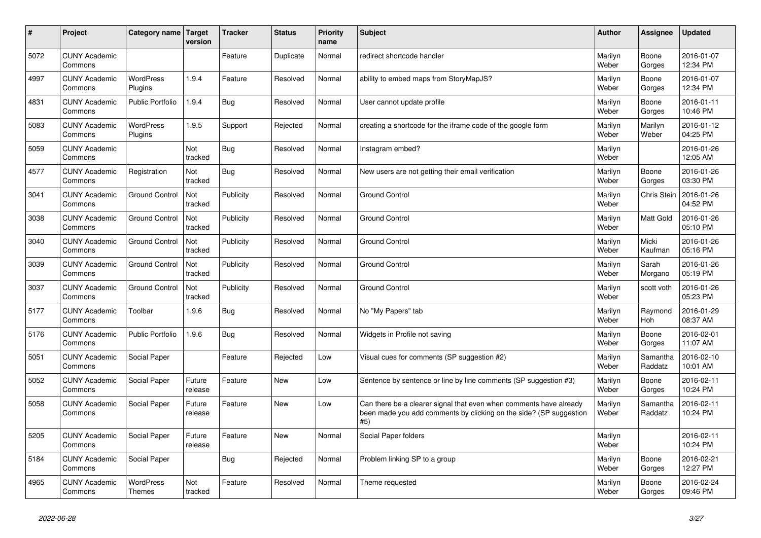| $\vert$ # | <b>Project</b>                  | Category name                     | <b>Target</b><br>version | <b>Tracker</b> | <b>Status</b> | <b>Priority</b><br>name | <b>Subject</b>                                                                                                                                  | <b>Author</b>    | Assignee            | <b>Updated</b>         |
|-----------|---------------------------------|-----------------------------------|--------------------------|----------------|---------------|-------------------------|-------------------------------------------------------------------------------------------------------------------------------------------------|------------------|---------------------|------------------------|
| 5072      | <b>CUNY Academic</b><br>Commons |                                   |                          | Feature        | Duplicate     | Normal                  | redirect shortcode handler                                                                                                                      | Marilyn<br>Weber | Boone<br>Gorges     | 2016-01-07<br>12:34 PM |
| 4997      | <b>CUNY Academic</b><br>Commons | <b>WordPress</b><br>Plugins       | 1.9.4                    | Feature        | Resolved      | Normal                  | ability to embed maps from StoryMapJS?                                                                                                          | Marilyn<br>Weber | Boone<br>Gorges     | 2016-01-07<br>12:34 PM |
| 4831      | <b>CUNY Academic</b><br>Commons | <b>Public Portfolio</b>           | 1.9.4                    | <b>Bug</b>     | Resolved      | Normal                  | User cannot update profile                                                                                                                      | Marilyn<br>Weber | Boone<br>Gorges     | 2016-01-11<br>10:46 PM |
| 5083      | <b>CUNY Academic</b><br>Commons | <b>WordPress</b><br>Plugins       | 1.9.5                    | Support        | Rejected      | Normal                  | creating a shortcode for the iframe code of the google form                                                                                     | Marilyn<br>Weber | Marilyn<br>Weber    | 2016-01-12<br>04:25 PM |
| 5059      | <b>CUNY Academic</b><br>Commons |                                   | Not<br>tracked           | <b>Bug</b>     | Resolved      | Normal                  | Instagram embed?                                                                                                                                | Marilyn<br>Weber |                     | 2016-01-26<br>12:05 AM |
| 4577      | <b>CUNY Academic</b><br>Commons | Registration                      | Not<br>tracked           | <b>Bug</b>     | Resolved      | Normal                  | New users are not getting their email verification                                                                                              | Marilyn<br>Weber | Boone<br>Gorges     | 2016-01-26<br>03:30 PM |
| 3041      | <b>CUNY Academic</b><br>Commons | <b>Ground Control</b>             | Not<br>tracked           | Publicity      | Resolved      | Normal                  | <b>Ground Control</b>                                                                                                                           | Marilyn<br>Weber | Chris Stein         | 2016-01-26<br>04:52 PM |
| 3038      | <b>CUNY Academic</b><br>Commons | <b>Ground Control</b>             | Not<br>tracked           | Publicity      | Resolved      | Normal                  | <b>Ground Control</b>                                                                                                                           | Marilyn<br>Weber | Matt Gold           | 2016-01-26<br>05:10 PM |
| 3040      | <b>CUNY Academic</b><br>Commons | <b>Ground Control</b>             | Not<br>tracked           | Publicity      | Resolved      | Normal                  | <b>Ground Control</b>                                                                                                                           | Marilyn<br>Weber | Micki<br>Kaufman    | 2016-01-26<br>05:16 PM |
| 3039      | <b>CUNY Academic</b><br>Commons | <b>Ground Control</b>             | Not<br>tracked           | Publicity      | Resolved      | Normal                  | <b>Ground Control</b>                                                                                                                           | Marilyn<br>Weber | Sarah<br>Morgano    | 2016-01-26<br>05:19 PM |
| 3037      | <b>CUNY Academic</b><br>Commons | <b>Ground Control</b>             | Not<br>tracked           | Publicity      | Resolved      | Normal                  | <b>Ground Control</b>                                                                                                                           | Marilyn<br>Weber | scott voth          | 2016-01-26<br>05:23 PM |
| 5177      | <b>CUNY Academic</b><br>Commons | Toolbar                           | 1.9.6                    | <b>Bug</b>     | Resolved      | Normal                  | No "My Papers" tab                                                                                                                              | Marilyn<br>Weber | Raymond<br>Hoh      | 2016-01-29<br>08:37 AM |
| 5176      | <b>CUNY Academic</b><br>Commons | <b>Public Portfolio</b>           | 1.9.6                    | <b>Bug</b>     | Resolved      | Normal                  | Widgets in Profile not saving                                                                                                                   | Marilyn<br>Weber | Boone<br>Gorges     | 2016-02-01<br>11:07 AM |
| 5051      | <b>CUNY Academic</b><br>Commons | Social Paper                      |                          | Feature        | Rejected      | Low                     | Visual cues for comments (SP suggestion #2)                                                                                                     | Marilyn<br>Weber | Samantha<br>Raddatz | 2016-02-10<br>10:01 AM |
| 5052      | <b>CUNY Academic</b><br>Commons | Social Paper                      | Future<br>release        | Feature        | <b>New</b>    | Low                     | Sentence by sentence or line by line comments (SP suggestion #3)                                                                                | Marilyn<br>Weber | Boone<br>Gorges     | 2016-02-11<br>10:24 PM |
| 5058      | <b>CUNY Academic</b><br>Commons | Social Paper                      | Future<br>release        | Feature        | <b>New</b>    | Low                     | Can there be a clearer signal that even when comments have already<br>been made you add comments by clicking on the side? (SP suggestion<br>#5) | Marilyn<br>Weber | Samantha<br>Raddatz | 2016-02-11<br>10:24 PM |
| 5205      | <b>CUNY Academic</b><br>Commons | Social Paper                      | Future<br>release        | Feature        | <b>New</b>    | Normal                  | Social Paper folders                                                                                                                            | Marilyn<br>Weber |                     | 2016-02-11<br>10:24 PM |
| 5184      | <b>CUNY Academic</b><br>Commons | Social Paper                      |                          | Bug            | Rejected      | Normal                  | Problem linking SP to a group                                                                                                                   | Marilyn<br>Weber | Boone<br>Gorges     | 2016-02-21<br>12:27 PM |
| 4965      | <b>CUNY Academic</b><br>Commons | <b>WordPress</b><br><b>Themes</b> | Not<br>tracked           | Feature        | Resolved      | Normal                  | Theme requested                                                                                                                                 | Marilyn<br>Weber | Boone<br>Gorges     | 2016-02-24<br>09:46 PM |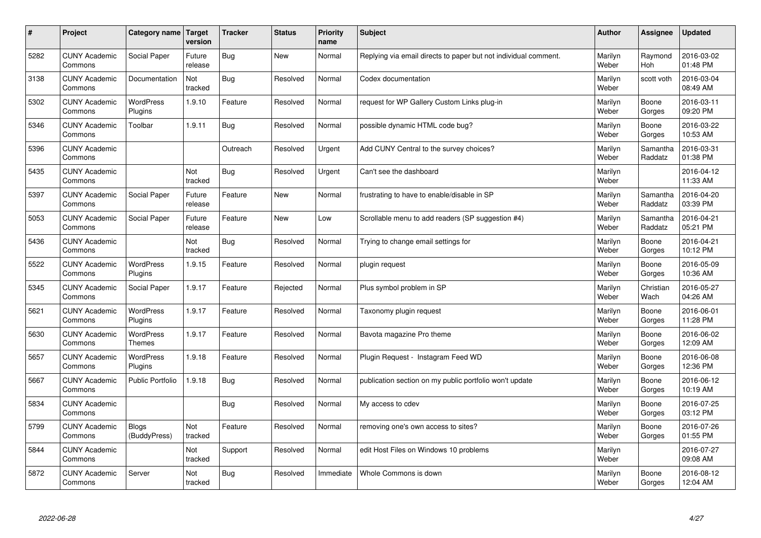| $\vert$ # | Project                         | Category name                     | <b>Target</b><br>version | <b>Tracker</b> | <b>Status</b> | Priority<br>name | <b>Subject</b>                                                  | <b>Author</b>    | Assignee            | <b>Updated</b>         |
|-----------|---------------------------------|-----------------------------------|--------------------------|----------------|---------------|------------------|-----------------------------------------------------------------|------------------|---------------------|------------------------|
| 5282      | <b>CUNY Academic</b><br>Commons | Social Paper                      | Future<br>release        | <b>Bug</b>     | <b>New</b>    | Normal           | Replying via email directs to paper but not individual comment. | Marilyn<br>Weber | Raymond<br>Hoh      | 2016-03-02<br>01:48 PM |
| 3138      | <b>CUNY Academic</b><br>Commons | Documentation                     | Not<br>tracked           | <b>Bug</b>     | Resolved      | Normal           | Codex documentation                                             | Marilyn<br>Weber | scott voth          | 2016-03-04<br>08:49 AM |
| 5302      | <b>CUNY Academic</b><br>Commons | <b>WordPress</b><br>Plugins       | 1.9.10                   | Feature        | Resolved      | Normal           | request for WP Gallery Custom Links plug-in                     | Marilyn<br>Weber | Boone<br>Gorges     | 2016-03-11<br>09:20 PM |
| 5346      | <b>CUNY Academic</b><br>Commons | Toolbar                           | 1.9.11                   | <b>Bug</b>     | Resolved      | Normal           | possible dynamic HTML code bug?                                 | Marilyn<br>Weber | Boone<br>Gorges     | 2016-03-22<br>10:53 AM |
| 5396      | <b>CUNY Academic</b><br>Commons |                                   |                          | Outreach       | Resolved      | Urgent           | Add CUNY Central to the survey choices?                         | Marilyn<br>Weber | Samantha<br>Raddatz | 2016-03-31<br>01:38 PM |
| 5435      | <b>CUNY Academic</b><br>Commons |                                   | Not<br>tracked           | <b>Bug</b>     | Resolved      | Urgent           | Can't see the dashboard                                         | Marilyn<br>Weber |                     | 2016-04-12<br>11:33 AM |
| 5397      | <b>CUNY Academic</b><br>Commons | Social Paper                      | Future<br>release        | Feature        | <b>New</b>    | Normal           | frustrating to have to enable/disable in SP                     | Marilyn<br>Weber | Samantha<br>Raddatz | 2016-04-20<br>03:39 PM |
| 5053      | <b>CUNY Academic</b><br>Commons | Social Paper                      | Future<br>release        | Feature        | <b>New</b>    | Low              | Scrollable menu to add readers (SP suggestion #4)               | Marilyn<br>Weber | Samantha<br>Raddatz | 2016-04-21<br>05:21 PM |
| 5436      | <b>CUNY Academic</b><br>Commons |                                   | Not<br>tracked           | Bug            | Resolved      | Normal           | Trying to change email settings for                             | Marilyn<br>Weber | Boone<br>Gorges     | 2016-04-21<br>10:12 PM |
| 5522      | <b>CUNY Academic</b><br>Commons | <b>WordPress</b><br>Plugins       | 1.9.15                   | Feature        | Resolved      | Normal           | plugin request                                                  | Marilyn<br>Weber | Boone<br>Gorges     | 2016-05-09<br>10:36 AM |
| 5345      | <b>CUNY Academic</b><br>Commons | Social Paper                      | 1.9.17                   | Feature        | Rejected      | Normal           | Plus symbol problem in SP                                       | Marilyn<br>Weber | Christian<br>Wach   | 2016-05-27<br>04:26 AM |
| 5621      | <b>CUNY Academic</b><br>Commons | WordPress<br>Plugins              | 1.9.17                   | Feature        | Resolved      | Normal           | Taxonomy plugin request                                         | Marilyn<br>Weber | Boone<br>Gorges     | 2016-06-01<br>11:28 PM |
| 5630      | <b>CUNY Academic</b><br>Commons | <b>WordPress</b><br><b>Themes</b> | 1.9.17                   | Feature        | Resolved      | Normal           | Bavota magazine Pro theme                                       | Marilyn<br>Weber | Boone<br>Gorges     | 2016-06-02<br>12:09 AM |
| 5657      | <b>CUNY Academic</b><br>Commons | WordPress<br>Plugins              | 1.9.18                   | Feature        | Resolved      | Normal           | Plugin Request - Instagram Feed WD                              | Marilyn<br>Weber | Boone<br>Gorges     | 2016-06-08<br>12:36 PM |
| 5667      | <b>CUNY Academic</b><br>Commons | <b>Public Portfolio</b>           | 1.9.18                   | Bug            | Resolved      | Normal           | publication section on my public portfolio won't update         | Marilyn<br>Weber | Boone<br>Gorges     | 2016-06-12<br>10:19 AM |
| 5834      | <b>CUNY Academic</b><br>Commons |                                   |                          | Bug            | Resolved      | Normal           | My access to cdev                                               | Marilyn<br>Weber | Boone<br>Gorges     | 2016-07-25<br>03:12 PM |
| 5799      | <b>CUNY Academic</b><br>Commons | <b>Blogs</b><br>(BuddyPress)      | Not<br>tracked           | Feature        | Resolved      | Normal           | removing one's own access to sites?                             | Marilyn<br>Weber | Boone<br>Gorges     | 2016-07-26<br>01:55 PM |
| 5844      | <b>CUNY Academic</b><br>Commons |                                   | Not<br>tracked           | Support        | Resolved      | Normal           | edit Host Files on Windows 10 problems                          | Marilyn<br>Weber |                     | 2016-07-27<br>09:08 AM |
| 5872      | <b>CUNY Academic</b><br>Commons | Server                            | Not<br>tracked           | <b>Bug</b>     | Resolved      | Immediate        | Whole Commons is down                                           | Marilyn<br>Weber | Boone<br>Gorges     | 2016-08-12<br>12:04 AM |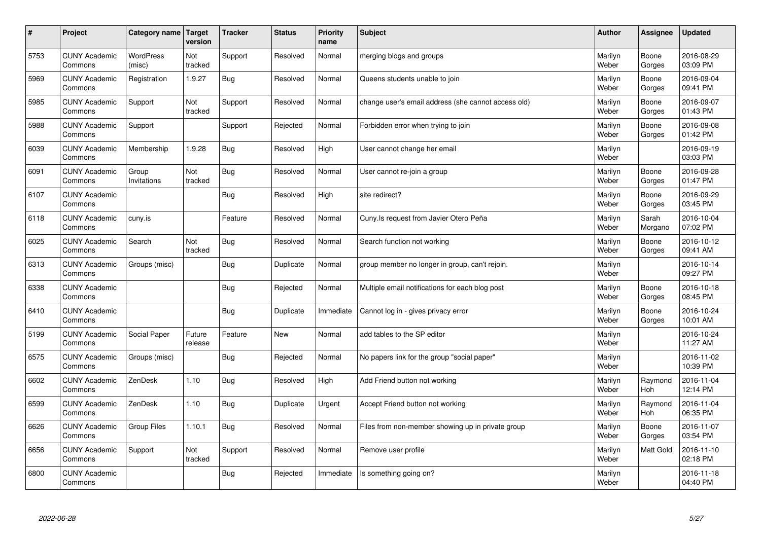| $\sharp$ | Project                         | Category name   Target     | version           | <b>Tracker</b> | <b>Status</b> | <b>Priority</b><br>name | <b>Subject</b>                                      | <b>Author</b>    | Assignee              | <b>Updated</b>         |
|----------|---------------------------------|----------------------------|-------------------|----------------|---------------|-------------------------|-----------------------------------------------------|------------------|-----------------------|------------------------|
| 5753     | <b>CUNY Academic</b><br>Commons | <b>WordPress</b><br>(misc) | Not<br>tracked    | Support        | Resolved      | Normal                  | merging blogs and groups                            | Marilyn<br>Weber | Boone<br>Gorges       | 2016-08-29<br>03:09 PM |
| 5969     | <b>CUNY Academic</b><br>Commons | Registration               | 1.9.27            | Bug            | Resolved      | Normal                  | Queens students unable to join                      | Marilyn<br>Weber | Boone<br>Gorges       | 2016-09-04<br>09:41 PM |
| 5985     | <b>CUNY Academic</b><br>Commons | Support                    | Not<br>tracked    | Support        | Resolved      | Normal                  | change user's email address (she cannot access old) | Marilyn<br>Weber | Boone<br>Gorges       | 2016-09-07<br>01:43 PM |
| 5988     | <b>CUNY Academic</b><br>Commons | Support                    |                   | Support        | Rejected      | Normal                  | Forbidden error when trying to join                 | Marilyn<br>Weber | Boone<br>Gorges       | 2016-09-08<br>01:42 PM |
| 6039     | <b>CUNY Academic</b><br>Commons | Membership                 | 1.9.28            | Bug            | Resolved      | High                    | User cannot change her email                        | Marilyn<br>Weber |                       | 2016-09-19<br>03:03 PM |
| 6091     | <b>CUNY Academic</b><br>Commons | Group<br>Invitations       | Not<br>tracked    | Bug            | Resolved      | Normal                  | User cannot re-join a group                         | Marilyn<br>Weber | Boone<br>Gorges       | 2016-09-28<br>01:47 PM |
| 6107     | <b>CUNY Academic</b><br>Commons |                            |                   | Bug            | Resolved      | High                    | site redirect?                                      | Marilyn<br>Weber | Boone<br>Gorges       | 2016-09-29<br>03:45 PM |
| 6118     | <b>CUNY Academic</b><br>Commons | cuny.is                    |                   | Feature        | Resolved      | Normal                  | Cuny.Is request from Javier Otero Peña              | Marilyn<br>Weber | Sarah<br>Morgano      | 2016-10-04<br>07:02 PM |
| 6025     | <b>CUNY Academic</b><br>Commons | Search                     | Not<br>tracked    | Bug            | Resolved      | Normal                  | Search function not working                         | Marilyn<br>Weber | Boone<br>Gorges       | 2016-10-12<br>09:41 AM |
| 6313     | <b>CUNY Academic</b><br>Commons | Groups (misc)              |                   | Bug            | Duplicate     | Normal                  | group member no longer in group, can't rejoin.      | Marilyn<br>Weber |                       | 2016-10-14<br>09:27 PM |
| 6338     | <b>CUNY Academic</b><br>Commons |                            |                   | <b>Bug</b>     | Rejected      | Normal                  | Multiple email notifications for each blog post     | Marilyn<br>Weber | Boone<br>Gorges       | 2016-10-18<br>08:45 PM |
| 6410     | <b>CUNY Academic</b><br>Commons |                            |                   | <b>Bug</b>     | Duplicate     | Immediate               | Cannot log in - gives privacy error                 | Marilyn<br>Weber | Boone<br>Gorges       | 2016-10-24<br>10:01 AM |
| 5199     | <b>CUNY Academic</b><br>Commons | Social Paper               | Future<br>release | Feature        | <b>New</b>    | Normal                  | add tables to the SP editor                         | Marilyn<br>Weber |                       | 2016-10-24<br>11:27 AM |
| 6575     | <b>CUNY Academic</b><br>Commons | Groups (misc)              |                   | Bug            | Rejected      | Normal                  | No papers link for the group "social paper"         | Marilyn<br>Weber |                       | 2016-11-02<br>10:39 PM |
| 6602     | <b>CUNY Academic</b><br>Commons | ZenDesk                    | 1.10              | <b>Bug</b>     | Resolved      | High                    | Add Friend button not working                       | Marilyn<br>Weber | Raymond<br>Hoh        | 2016-11-04<br>12:14 PM |
| 6599     | <b>CUNY Academic</b><br>Commons | ZenDesk                    | 1.10              | Bug            | Duplicate     | Urgent                  | Accept Friend button not working                    | Marilyn<br>Weber | Raymond<br><b>Hoh</b> | 2016-11-04<br>06:35 PM |
| 6626     | <b>CUNY Academic</b><br>Commons | Group Files                | 1.10.1            | Bug            | Resolved      | Normal                  | Files from non-member showing up in private group   | Marilyn<br>Weber | Boone<br>Gorges       | 2016-11-07<br>03:54 PM |
| 6656     | <b>CUNY Academic</b><br>Commons | Support                    | Not<br>tracked    | Support        | Resolved      | Normal                  | Remove user profile                                 | Marilyn<br>Weber | <b>Matt Gold</b>      | 2016-11-10<br>02:18 PM |
| 6800     | <b>CUNY Academic</b><br>Commons |                            |                   | Bug            | Rejected      | Immediate               | Is something going on?                              | Marilyn<br>Weber |                       | 2016-11-18<br>04:40 PM |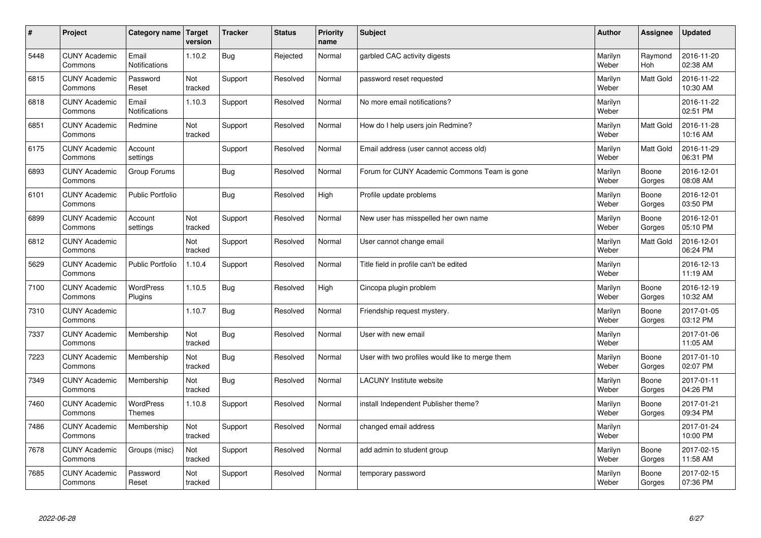| $\sharp$ | Project                         | Category name                     | Target<br>version | <b>Tracker</b> | <b>Status</b> | <b>Priority</b><br>name | <b>Subject</b>                                  | <b>Author</b>    | Assignee              | <b>Updated</b>         |
|----------|---------------------------------|-----------------------------------|-------------------|----------------|---------------|-------------------------|-------------------------------------------------|------------------|-----------------------|------------------------|
| 5448     | <b>CUNY Academic</b><br>Commons | Email<br><b>Notifications</b>     | 1.10.2            | Bug            | Rejected      | Normal                  | garbled CAC activity digests                    | Marilyn<br>Weber | Raymond<br><b>Hoh</b> | 2016-11-20<br>02:38 AM |
| 6815     | <b>CUNY Academic</b><br>Commons | Password<br>Reset                 | Not<br>tracked    | Support        | Resolved      | Normal                  | password reset requested                        | Marilyn<br>Weber | <b>Matt Gold</b>      | 2016-11-22<br>10:30 AM |
| 6818     | <b>CUNY Academic</b><br>Commons | Email<br>Notifications            | 1.10.3            | Support        | Resolved      | Normal                  | No more email notifications?                    | Marilyn<br>Weber |                       | 2016-11-22<br>02:51 PM |
| 6851     | <b>CUNY Academic</b><br>Commons | Redmine                           | Not<br>tracked    | Support        | Resolved      | Normal                  | How do I help users join Redmine?               | Marilyn<br>Weber | Matt Gold             | 2016-11-28<br>10:16 AM |
| 6175     | <b>CUNY Academic</b><br>Commons | Account<br>settings               |                   | Support        | Resolved      | Normal                  | Email address (user cannot access old)          | Marilyn<br>Weber | Matt Gold             | 2016-11-29<br>06:31 PM |
| 6893     | <b>CUNY Academic</b><br>Commons | Group Forums                      |                   | Bug            | Resolved      | Normal                  | Forum for CUNY Academic Commons Team is gone    | Marilyn<br>Weber | Boone<br>Gorges       | 2016-12-01<br>08:08 AM |
| 6101     | <b>CUNY Academic</b><br>Commons | <b>Public Portfolio</b>           |                   | Bug            | Resolved      | High                    | Profile update problems                         | Marilyn<br>Weber | Boone<br>Gorges       | 2016-12-01<br>03:50 PM |
| 6899     | <b>CUNY Academic</b><br>Commons | Account<br>settings               | Not<br>tracked    | Support        | Resolved      | Normal                  | New user has misspelled her own name            | Marilyn<br>Weber | Boone<br>Gorges       | 2016-12-01<br>05:10 PM |
| 6812     | <b>CUNY Academic</b><br>Commons |                                   | Not<br>tracked    | Support        | Resolved      | Normal                  | User cannot change email                        | Marilyn<br>Weber | <b>Matt Gold</b>      | 2016-12-01<br>06:24 PM |
| 5629     | <b>CUNY Academic</b><br>Commons | <b>Public Portfolio</b>           | 1.10.4            | Support        | Resolved      | Normal                  | Title field in profile can't be edited          | Marilyn<br>Weber |                       | 2016-12-13<br>11:19 AM |
| 7100     | <b>CUNY Academic</b><br>Commons | WordPress<br>Plugins              | 1.10.5            | Bug            | Resolved      | High                    | Cincopa plugin problem                          | Marilyn<br>Weber | Boone<br>Gorges       | 2016-12-19<br>10:32 AM |
| 7310     | <b>CUNY Academic</b><br>Commons |                                   | 1.10.7            | Bug            | Resolved      | Normal                  | Friendship request mystery.                     | Marilyn<br>Weber | Boone<br>Gorges       | 2017-01-05<br>03:12 PM |
| 7337     | <b>CUNY Academic</b><br>Commons | Membership                        | Not<br>tracked    | Bug            | Resolved      | Normal                  | User with new email                             | Marilyn<br>Weber |                       | 2017-01-06<br>11:05 AM |
| 7223     | <b>CUNY Academic</b><br>Commons | Membership                        | Not<br>tracked    | Bug            | Resolved      | Normal                  | User with two profiles would like to merge them | Marilyn<br>Weber | Boone<br>Gorges       | 2017-01-10<br>02:07 PM |
| 7349     | <b>CUNY Academic</b><br>Commons | Membership                        | Not<br>tracked    | <b>Bug</b>     | Resolved      | Normal                  | <b>LACUNY Institute website</b>                 | Marilyn<br>Weber | Boone<br>Gorges       | 2017-01-11<br>04:26 PM |
| 7460     | <b>CUNY Academic</b><br>Commons | <b>WordPress</b><br><b>Themes</b> | 1.10.8            | Support        | Resolved      | Normal                  | install Independent Publisher theme?            | Marilyn<br>Weber | Boone<br>Gorges       | 2017-01-21<br>09:34 PM |
| 7486     | <b>CUNY Academic</b><br>Commons | Membership                        | Not<br>tracked    | Support        | Resolved      | Normal                  | changed email address                           | Marilyn<br>Weber |                       | 2017-01-24<br>10:00 PM |
| 7678     | <b>CUNY Academic</b><br>Commons | Groups (misc)                     | Not<br>tracked    | Support        | Resolved      | Normal                  | add admin to student group                      | Marilyn<br>Weber | Boone<br>Gorges       | 2017-02-15<br>11:58 AM |
| 7685     | <b>CUNY Academic</b><br>Commons | Password<br>Reset                 | Not<br>tracked    | Support        | Resolved      | Normal                  | temporary password                              | Marilyn<br>Weber | Boone<br>Gorges       | 2017-02-15<br>07:36 PM |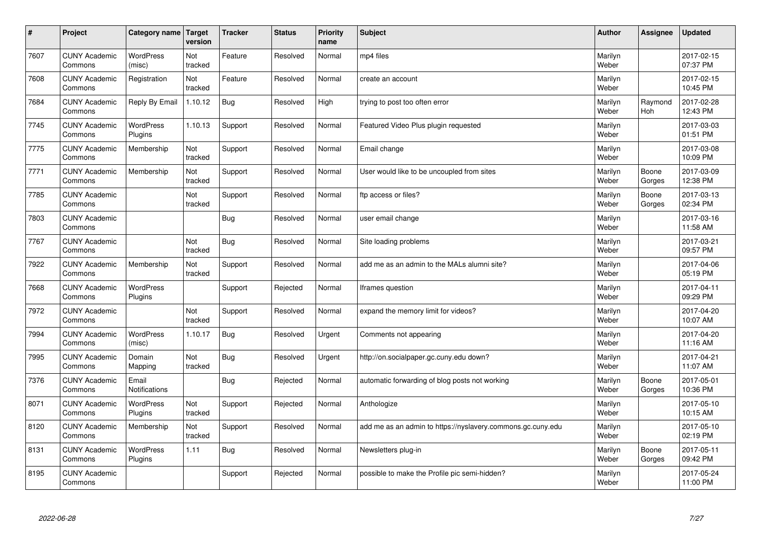| $\vert$ # | Project                         | Category name   Target      | version        | <b>Tracker</b> | <b>Status</b> | <b>Priority</b><br>name | <b>Subject</b>                                              | <b>Author</b>    | Assignee              | <b>Updated</b>         |
|-----------|---------------------------------|-----------------------------|----------------|----------------|---------------|-------------------------|-------------------------------------------------------------|------------------|-----------------------|------------------------|
| 7607      | <b>CUNY Academic</b><br>Commons | <b>WordPress</b><br>(misc)  | Not<br>tracked | Feature        | Resolved      | Normal                  | mp4 files                                                   | Marilyn<br>Weber |                       | 2017-02-15<br>07:37 PM |
| 7608      | <b>CUNY Academic</b><br>Commons | Registration                | Not<br>tracked | Feature        | Resolved      | Normal                  | create an account                                           | Marilyn<br>Weber |                       | 2017-02-15<br>10:45 PM |
| 7684      | <b>CUNY Academic</b><br>Commons | Reply By Email              | 1.10.12        | <b>Bug</b>     | Resolved      | High                    | trying to post too often error                              | Marilyn<br>Weber | Raymond<br><b>Hoh</b> | 2017-02-28<br>12:43 PM |
| 7745      | <b>CUNY Academic</b><br>Commons | <b>WordPress</b><br>Plugins | 1.10.13        | Support        | Resolved      | Normal                  | Featured Video Plus plugin requested                        | Marilyn<br>Weber |                       | 2017-03-03<br>01:51 PM |
| 7775      | <b>CUNY Academic</b><br>Commons | Membership                  | Not<br>tracked | Support        | Resolved      | Normal                  | Email change                                                | Marilyn<br>Weber |                       | 2017-03-08<br>10:09 PM |
| 7771      | <b>CUNY Academic</b><br>Commons | Membership                  | Not<br>tracked | Support        | Resolved      | Normal                  | User would like to be uncoupled from sites                  | Marilyn<br>Weber | Boone<br>Gorges       | 2017-03-09<br>12:38 PM |
| 7785      | <b>CUNY Academic</b><br>Commons |                             | Not<br>tracked | Support        | Resolved      | Normal                  | ftp access or files?                                        | Marilyn<br>Weber | Boone<br>Gorges       | 2017-03-13<br>02:34 PM |
| 7803      | <b>CUNY Academic</b><br>Commons |                             |                | <b>Bug</b>     | Resolved      | Normal                  | user email change                                           | Marilyn<br>Weber |                       | 2017-03-16<br>11:58 AM |
| 7767      | <b>CUNY Academic</b><br>Commons |                             | Not<br>tracked | <b>Bug</b>     | Resolved      | Normal                  | Site loading problems                                       | Marilyn<br>Weber |                       | 2017-03-21<br>09:57 PM |
| 7922      | <b>CUNY Academic</b><br>Commons | Membership                  | Not<br>tracked | Support        | Resolved      | Normal                  | add me as an admin to the MALs alumni site?                 | Marilyn<br>Weber |                       | 2017-04-06<br>05:19 PM |
| 7668      | <b>CUNY Academic</b><br>Commons | <b>WordPress</b><br>Plugins |                | Support        | Rejected      | Normal                  | Iframes question                                            | Marilyn<br>Weber |                       | 2017-04-11<br>09:29 PM |
| 7972      | <b>CUNY Academic</b><br>Commons |                             | Not<br>tracked | Support        | Resolved      | Normal                  | expand the memory limit for videos?                         | Marilyn<br>Weber |                       | 2017-04-20<br>10:07 AM |
| 7994      | <b>CUNY Academic</b><br>Commons | <b>WordPress</b><br>(misc)  | 1.10.17        | <b>Bug</b>     | Resolved      | Urgent                  | Comments not appearing                                      | Marilyn<br>Weber |                       | 2017-04-20<br>11:16 AM |
| 7995      | <b>CUNY Academic</b><br>Commons | Domain<br>Mapping           | Not<br>tracked | <b>Bug</b>     | Resolved      | Urgent                  | http://on.socialpaper.gc.cuny.edu down?                     | Marilyn<br>Weber |                       | 2017-04-21<br>11:07 AM |
| 7376      | <b>CUNY Academic</b><br>Commons | Email<br>Notifications      |                | <b>Bug</b>     | Rejected      | Normal                  | automatic forwarding of blog posts not working              | Marilyn<br>Weber | Boone<br>Gorges       | 2017-05-01<br>10:36 PM |
| 8071      | <b>CUNY Academic</b><br>Commons | <b>WordPress</b><br>Plugins | Not<br>tracked | Support        | Rejected      | Normal                  | Anthologize                                                 | Marilyn<br>Weber |                       | 2017-05-10<br>10:15 AM |
| 8120      | <b>CUNY Academic</b><br>Commons | Membership                  | Not<br>tracked | Support        | Resolved      | Normal                  | add me as an admin to https://nyslavery.commons.gc.cuny.edu | Marilyn<br>Weber |                       | 2017-05-10<br>02:19 PM |
| 8131      | <b>CUNY Academic</b><br>Commons | WordPress<br>Plugins        | 1.11           | <b>Bug</b>     | Resolved      | Normal                  | Newsletters plug-in                                         | Marilyn<br>Weber | Boone<br>Gorges       | 2017-05-11<br>09:42 PM |
| 8195      | <b>CUNY Academic</b><br>Commons |                             |                | Support        | Rejected      | Normal                  | possible to make the Profile pic semi-hidden?               | Marilyn<br>Weber |                       | 2017-05-24<br>11:00 PM |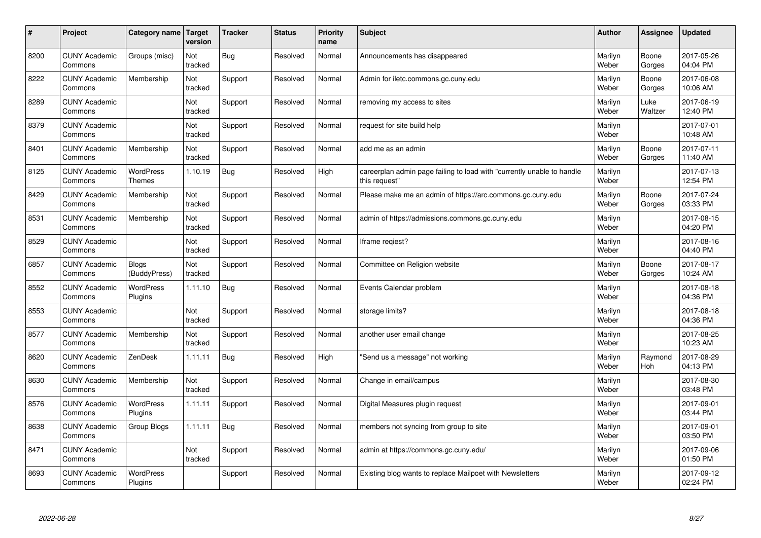| #    | Project                         | Category name                     | Target<br>version | <b>Tracker</b> | <b>Status</b> | <b>Priority</b><br>name | <b>Subject</b>                                                                          | <b>Author</b>    | Assignee        | <b>Updated</b>         |
|------|---------------------------------|-----------------------------------|-------------------|----------------|---------------|-------------------------|-----------------------------------------------------------------------------------------|------------------|-----------------|------------------------|
| 8200 | <b>CUNY Academic</b><br>Commons | Groups (misc)                     | Not<br>tracked    | Bug            | Resolved      | Normal                  | Announcements has disappeared                                                           | Marilyn<br>Weber | Boone<br>Gorges | 2017-05-26<br>04:04 PM |
| 8222 | <b>CUNY Academic</b><br>Commons | Membership                        | Not<br>tracked    | Support        | Resolved      | Normal                  | Admin for iletc.commons.gc.cuny.edu                                                     | Marilyn<br>Weber | Boone<br>Gorges | 2017-06-08<br>10:06 AM |
| 8289 | <b>CUNY Academic</b><br>Commons |                                   | Not<br>tracked    | Support        | Resolved      | Normal                  | removing my access to sites                                                             | Marilyn<br>Weber | Luke<br>Waltzer | 2017-06-19<br>12:40 PM |
| 8379 | <b>CUNY Academic</b><br>Commons |                                   | Not<br>tracked    | Support        | Resolved      | Normal                  | request for site build help                                                             | Marilyn<br>Weber |                 | 2017-07-01<br>10:48 AM |
| 8401 | <b>CUNY Academic</b><br>Commons | Membership                        | Not<br>tracked    | Support        | Resolved      | Normal                  | add me as an admin                                                                      | Marilyn<br>Weber | Boone<br>Gorges | 2017-07-11<br>11:40 AM |
| 8125 | <b>CUNY Academic</b><br>Commons | <b>WordPress</b><br><b>Themes</b> | 1.10.19           | Bug            | Resolved      | High                    | careerplan admin page failing to load with "currently unable to handle<br>this request" | Marilyn<br>Weber |                 | 2017-07-13<br>12:54 PM |
| 8429 | <b>CUNY Academic</b><br>Commons | Membership                        | Not<br>tracked    | Support        | Resolved      | Normal                  | Please make me an admin of https://arc.commons.gc.cuny.edu                              | Marilyn<br>Weber | Boone<br>Gorges | 2017-07-24<br>03:33 PM |
| 8531 | <b>CUNY Academic</b><br>Commons | Membership                        | Not<br>tracked    | Support        | Resolved      | Normal                  | admin of https://admissions.commons.gc.cuny.edu                                         | Marilyn<br>Weber |                 | 2017-08-15<br>04:20 PM |
| 8529 | <b>CUNY Academic</b><br>Commons |                                   | Not<br>tracked    | Support        | Resolved      | Normal                  | Iframe regiest?                                                                         | Marilyn<br>Weber |                 | 2017-08-16<br>04:40 PM |
| 6857 | <b>CUNY Academic</b><br>Commons | <b>Blogs</b><br>(BuddyPress)      | Not<br>tracked    | Support        | Resolved      | Normal                  | Committee on Religion website                                                           | Marilyn<br>Weber | Boone<br>Gorges | 2017-08-17<br>10:24 AM |
| 8552 | <b>CUNY Academic</b><br>Commons | WordPress<br>Plugins              | 1.11.10           | Bug            | Resolved      | Normal                  | Events Calendar problem                                                                 | Marilyn<br>Weber |                 | 2017-08-18<br>04:36 PM |
| 8553 | <b>CUNY Academic</b><br>Commons |                                   | Not<br>tracked    | Support        | Resolved      | Normal                  | storage limits?                                                                         | Marilyn<br>Weber |                 | 2017-08-18<br>04:36 PM |
| 8577 | <b>CUNY Academic</b><br>Commons | Membership                        | Not<br>tracked    | Support        | Resolved      | Normal                  | another user email change                                                               | Marilyn<br>Weber |                 | 2017-08-25<br>10:23 AM |
| 8620 | <b>CUNY Academic</b><br>Commons | ZenDesk                           | 1.11.11           | Bug            | Resolved      | High                    | 'Send us a message" not working                                                         | Marilyn<br>Weber | Raymond<br>Hoh  | 2017-08-29<br>04:13 PM |
| 8630 | <b>CUNY Academic</b><br>Commons | Membership                        | Not<br>tracked    | Support        | Resolved      | Normal                  | Change in email/campus                                                                  | Marilyn<br>Weber |                 | 2017-08-30<br>03:48 PM |
| 8576 | <b>CUNY Academic</b><br>Commons | <b>WordPress</b><br>Plugins       | 1.11.11           | Support        | Resolved      | Normal                  | Digital Measures plugin request                                                         | Marilyn<br>Weber |                 | 2017-09-01<br>03:44 PM |
| 8638 | <b>CUNY Academic</b><br>Commons | Group Blogs                       | 1.11.11           | Bug            | Resolved      | Normal                  | members not syncing from group to site                                                  | Marilyn<br>Weber |                 | 2017-09-01<br>03:50 PM |
| 8471 | <b>CUNY Academic</b><br>Commons |                                   | Not<br>tracked    | Support        | Resolved      | Normal                  | admin at https://commons.gc.cuny.edu/                                                   | Marilyn<br>Weber |                 | 2017-09-06<br>01:50 PM |
| 8693 | <b>CUNY Academic</b><br>Commons | <b>WordPress</b><br>Plugins       |                   | Support        | Resolved      | Normal                  | Existing blog wants to replace Mailpoet with Newsletters                                | Marilyn<br>Weber |                 | 2017-09-12<br>02:24 PM |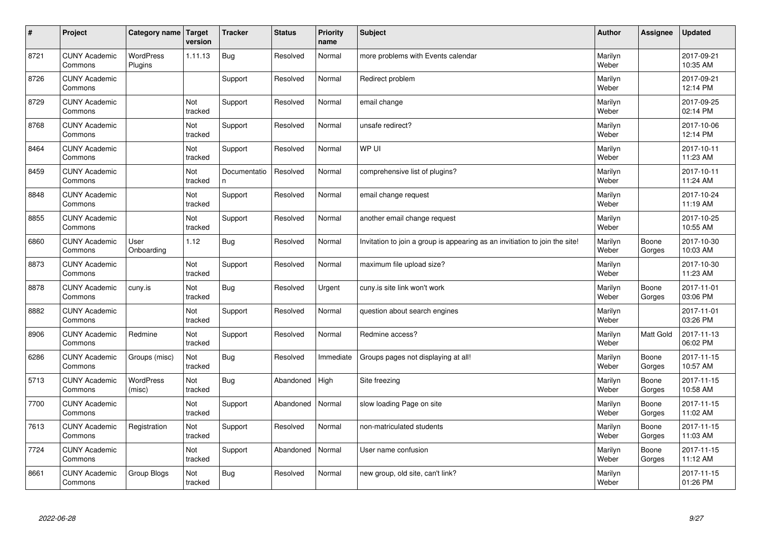| $\vert$ # | Project                         | Category name Target        | version               | <b>Tracker</b>    | <b>Status</b> | <b>Priority</b><br>name | <b>Subject</b>                                                              | <b>Author</b>    | Assignee        | <b>Updated</b>         |
|-----------|---------------------------------|-----------------------------|-----------------------|-------------------|---------------|-------------------------|-----------------------------------------------------------------------------|------------------|-----------------|------------------------|
| 8721      | <b>CUNY Academic</b><br>Commons | <b>WordPress</b><br>Plugins | 1.11.13               | Bug               | Resolved      | Normal                  | more problems with Events calendar                                          | Marilyn<br>Weber |                 | 2017-09-21<br>10:35 AM |
| 8726      | <b>CUNY Academic</b><br>Commons |                             |                       | Support           | Resolved      | Normal                  | Redirect problem                                                            | Marilyn<br>Weber |                 | 2017-09-21<br>12:14 PM |
| 8729      | <b>CUNY Academic</b><br>Commons |                             | Not<br>tracked        | Support           | Resolved      | Normal                  | email change                                                                | Marilyn<br>Weber |                 | 2017-09-25<br>02:14 PM |
| 8768      | <b>CUNY Academic</b><br>Commons |                             | Not<br>tracked        | Support           | Resolved      | Normal                  | unsafe redirect?                                                            | Marilyn<br>Weber |                 | 2017-10-06<br>12:14 PM |
| 8464      | <b>CUNY Academic</b><br>Commons |                             | Not<br>tracked        | Support           | Resolved      | Normal                  | WP UI                                                                       | Marilyn<br>Weber |                 | 2017-10-11<br>11:23 AM |
| 8459      | <b>CUNY Academic</b><br>Commons |                             | <b>Not</b><br>tracked | Documentatio<br>n | Resolved      | Normal                  | comprehensive list of plugins?                                              | Marilyn<br>Weber |                 | 2017-10-11<br>11:24 AM |
| 8848      | <b>CUNY Academic</b><br>Commons |                             | Not<br>tracked        | Support           | Resolved      | Normal                  | email change request                                                        | Marilyn<br>Weber |                 | 2017-10-24<br>11:19 AM |
| 8855      | <b>CUNY Academic</b><br>Commons |                             | Not<br>tracked        | Support           | Resolved      | Normal                  | another email change request                                                | Marilyn<br>Weber |                 | 2017-10-25<br>10:55 AM |
| 6860      | <b>CUNY Academic</b><br>Commons | User<br>Onboarding          | 1.12                  | Bug               | Resolved      | Normal                  | Invitation to join a group is appearing as an invitiation to join the site! | Marilyn<br>Weber | Boone<br>Gorges | 2017-10-30<br>10:03 AM |
| 8873      | <b>CUNY Academic</b><br>Commons |                             | Not<br>tracked        | Support           | Resolved      | Normal                  | maximum file upload size?                                                   | Marilyn<br>Weber |                 | 2017-10-30<br>11:23 AM |
| 8878      | <b>CUNY Academic</b><br>Commons | cuny.is                     | Not<br>tracked        | <b>Bug</b>        | Resolved      | Urgent                  | cuny is site link won't work                                                | Marilyn<br>Weber | Boone<br>Gorges | 2017-11-01<br>03:06 PM |
| 8882      | <b>CUNY Academic</b><br>Commons |                             | Not<br>tracked        | Support           | Resolved      | Normal                  | question about search engines                                               | Marilyn<br>Weber |                 | 2017-11-01<br>03:26 PM |
| 8906      | <b>CUNY Academic</b><br>Commons | Redmine                     | Not<br>tracked        | Support           | Resolved      | Normal                  | Redmine access?                                                             | Marilyn<br>Weber | Matt Gold       | 2017-11-13<br>06:02 PM |
| 6286      | <b>CUNY Academic</b><br>Commons | Groups (misc)               | Not<br>tracked        | <b>Bug</b>        | Resolved      | Immediate               | Groups pages not displaying at all!                                         | Marilyn<br>Weber | Boone<br>Gorges | 2017-11-15<br>10:57 AM |
| 5713      | <b>CUNY Academic</b><br>Commons | WordPress<br>(misc)         | Not<br>tracked        | <b>Bug</b>        | Abandoned     | High                    | Site freezing                                                               | Marilyn<br>Weber | Boone<br>Gorges | 2017-11-15<br>10:58 AM |
| 7700      | <b>CUNY Academic</b><br>Commons |                             | Not<br>tracked        | Support           | Abandoned     | Normal                  | slow loading Page on site                                                   | Marilyn<br>Weber | Boone<br>Gorges | 2017-11-15<br>11:02 AM |
| 7613      | <b>CUNY Academic</b><br>Commons | Registration                | Not<br>tracked        | Support           | Resolved      | Normal                  | non-matriculated students                                                   | Marilyn<br>Weber | Boone<br>Gorges | 2017-11-15<br>11:03 AM |
| 7724      | <b>CUNY Academic</b><br>Commons |                             | Not<br>tracked        | Support           | Abandoned     | Normal                  | User name confusion                                                         | Marilyn<br>Weber | Boone<br>Gorges | 2017-11-15<br>11:12 AM |
| 8661      | <b>CUNY Academic</b><br>Commons | Group Blogs                 | Not<br>tracked        | Bug               | Resolved      | Normal                  | new group, old site, can't link?                                            | Marilyn<br>Weber |                 | 2017-11-15<br>01:26 PM |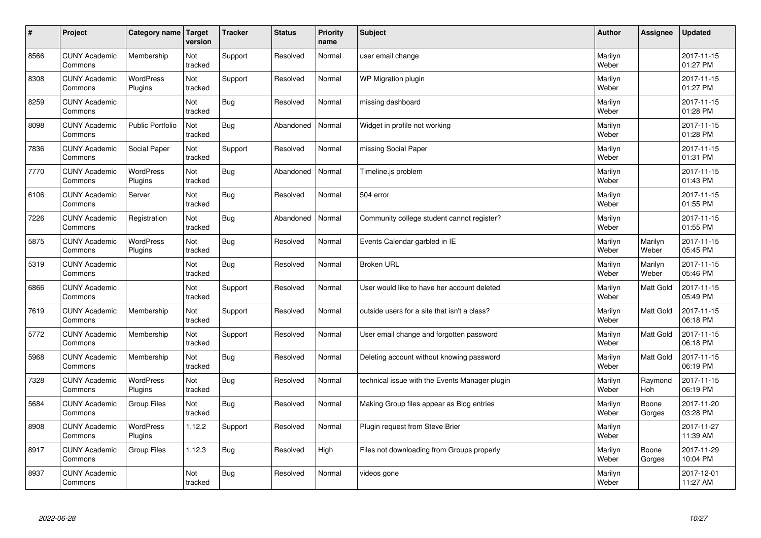| $\sharp$ | Project                         | Category name               | Target<br>version | <b>Tracker</b> | <b>Status</b> | <b>Priority</b><br>name | <b>Subject</b>                                 | <b>Author</b>    | Assignee              | <b>Updated</b>         |
|----------|---------------------------------|-----------------------------|-------------------|----------------|---------------|-------------------------|------------------------------------------------|------------------|-----------------------|------------------------|
| 8566     | <b>CUNY Academic</b><br>Commons | Membership                  | Not<br>tracked    | Support        | Resolved      | Normal                  | user email change                              | Marilyn<br>Weber |                       | 2017-11-15<br>01:27 PM |
| 8308     | <b>CUNY Academic</b><br>Commons | <b>WordPress</b><br>Plugins | Not<br>tracked    | Support        | Resolved      | Normal                  | WP Migration plugin                            | Marilyn<br>Weber |                       | 2017-11-15<br>01:27 PM |
| 8259     | <b>CUNY Academic</b><br>Commons |                             | Not<br>tracked    | Bug            | Resolved      | Normal                  | missing dashboard                              | Marilyn<br>Weber |                       | 2017-11-15<br>01:28 PM |
| 8098     | <b>CUNY Academic</b><br>Commons | <b>Public Portfolio</b>     | Not<br>tracked    | Bug            | Abandoned     | Normal                  | Widget in profile not working                  | Marilyn<br>Weber |                       | 2017-11-15<br>01:28 PM |
| 7836     | <b>CUNY Academic</b><br>Commons | Social Paper                | Not<br>tracked    | Support        | Resolved      | Normal                  | missing Social Paper                           | Marilyn<br>Weber |                       | 2017-11-15<br>01:31 PM |
| 7770     | <b>CUNY Academic</b><br>Commons | <b>WordPress</b><br>Plugins | Not<br>tracked    | <b>Bug</b>     | Abandoned     | Normal                  | Timeline.js problem                            | Marilyn<br>Weber |                       | 2017-11-15<br>01:43 PM |
| 6106     | <b>CUNY Academic</b><br>Commons | Server                      | Not<br>tracked    | Bug            | Resolved      | Normal                  | 504 error                                      | Marilyn<br>Weber |                       | 2017-11-15<br>01:55 PM |
| 7226     | <b>CUNY Academic</b><br>Commons | Registration                | Not<br>tracked    | Bug            | Abandoned     | Normal                  | Community college student cannot register?     | Marilyn<br>Weber |                       | 2017-11-15<br>01:55 PM |
| 5875     | <b>CUNY Academic</b><br>Commons | <b>WordPress</b><br>Plugins | Not<br>tracked    | Bug            | Resolved      | Normal                  | Events Calendar garbled in IE                  | Marilyn<br>Weber | Marilyn<br>Weber      | 2017-11-15<br>05:45 PM |
| 5319     | <b>CUNY Academic</b><br>Commons |                             | Not<br>tracked    | Bug            | Resolved      | Normal                  | <b>Broken URL</b>                              | Marilyn<br>Weber | Marilyn<br>Weber      | 2017-11-15<br>05:46 PM |
| 6866     | <b>CUNY Academic</b><br>Commons |                             | Not<br>tracked    | Support        | Resolved      | Normal                  | User would like to have her account deleted    | Marilyn<br>Weber | Matt Gold             | 2017-11-15<br>05:49 PM |
| 7619     | <b>CUNY Academic</b><br>Commons | Membership                  | Not<br>tracked    | Support        | Resolved      | Normal                  | outside users for a site that isn't a class?   | Marilyn<br>Weber | Matt Gold             | 2017-11-15<br>06:18 PM |
| 5772     | <b>CUNY Academic</b><br>Commons | Membership                  | Not<br>tracked    | Support        | Resolved      | Normal                  | User email change and forgotten password       | Marilyn<br>Weber | <b>Matt Gold</b>      | 2017-11-15<br>06:18 PM |
| 5968     | <b>CUNY Academic</b><br>Commons | Membership                  | Not<br>tracked    | Bug            | Resolved      | Normal                  | Deleting account without knowing password      | Marilyn<br>Weber | <b>Matt Gold</b>      | 2017-11-15<br>06:19 PM |
| 7328     | <b>CUNY Academic</b><br>Commons | <b>WordPress</b><br>Plugins | Not<br>tracked    | Bug            | Resolved      | Normal                  | technical issue with the Events Manager plugin | Marilyn<br>Weber | Raymond<br><b>Hoh</b> | 2017-11-15<br>06:19 PM |
| 5684     | <b>CUNY Academic</b><br>Commons | Group Files                 | Not<br>tracked    | Bug            | Resolved      | Normal                  | Making Group files appear as Blog entries      | Marilyn<br>Weber | Boone<br>Gorges       | 2017-11-20<br>03:28 PM |
| 8908     | <b>CUNY Academic</b><br>Commons | <b>WordPress</b><br>Plugins | 1.12.2            | Support        | Resolved      | Normal                  | Plugin request from Steve Brier                | Marilyn<br>Weber |                       | 2017-11-27<br>11:39 AM |
| 8917     | <b>CUNY Academic</b><br>Commons | <b>Group Files</b>          | 1.12.3            | <b>Bug</b>     | Resolved      | High                    | Files not downloading from Groups properly     | Marilyn<br>Weber | Boone<br>Gorges       | 2017-11-29<br>10:04 PM |
| 8937     | <b>CUNY Academic</b><br>Commons |                             | Not<br>tracked    | Bug            | Resolved      | Normal                  | videos gone                                    | Marilyn<br>Weber |                       | 2017-12-01<br>11:27 AM |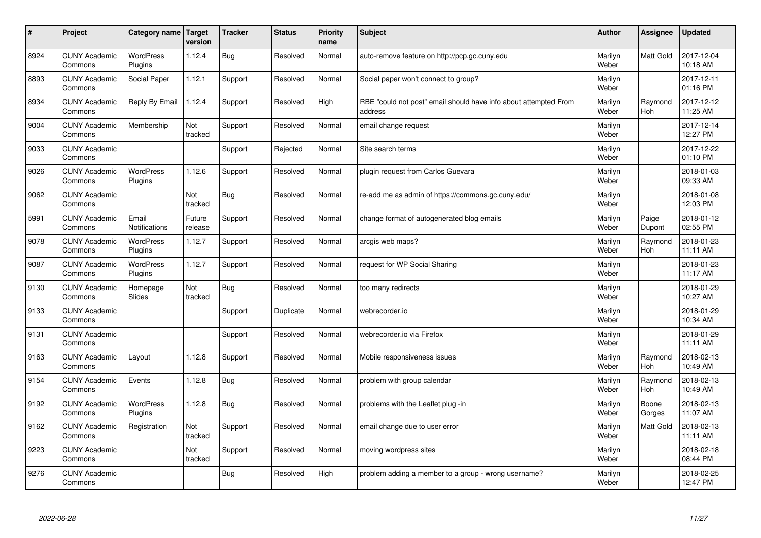| $\sharp$ | Project                         | Category name Target          | version           | <b>Tracker</b> | <b>Status</b> | <b>Priority</b><br>name | <b>Subject</b>                                                              | <b>Author</b>    | Assignee              | <b>Updated</b>         |
|----------|---------------------------------|-------------------------------|-------------------|----------------|---------------|-------------------------|-----------------------------------------------------------------------------|------------------|-----------------------|------------------------|
| 8924     | <b>CUNY Academic</b><br>Commons | <b>WordPress</b><br>Plugins   | 1.12.4            | Bug            | Resolved      | Normal                  | auto-remove feature on http://pcp.gc.cuny.edu                               | Marilyn<br>Weber | <b>Matt Gold</b>      | 2017-12-04<br>10:18 AM |
| 8893     | <b>CUNY Academic</b><br>Commons | Social Paper                  | 1.12.1            | Support        | Resolved      | Normal                  | Social paper won't connect to group?                                        | Marilyn<br>Weber |                       | 2017-12-11<br>01:16 PM |
| 8934     | <b>CUNY Academic</b><br>Commons | Reply By Email                | 1.12.4            | Support        | Resolved      | High                    | RBE "could not post" email should have info about attempted From<br>address | Marilyn<br>Weber | Raymond<br><b>Hoh</b> | 2017-12-12<br>11:25 AM |
| 9004     | <b>CUNY Academic</b><br>Commons | Membership                    | Not<br>tracked    | Support        | Resolved      | Normal                  | email change request                                                        | Marilyn<br>Weber |                       | 2017-12-14<br>12:27 PM |
| 9033     | <b>CUNY Academic</b><br>Commons |                               |                   | Support        | Rejected      | Normal                  | Site search terms                                                           | Marilyn<br>Weber |                       | 2017-12-22<br>01:10 PM |
| 9026     | <b>CUNY Academic</b><br>Commons | <b>WordPress</b><br>Plugins   | 1.12.6            | Support        | Resolved      | Normal                  | plugin request from Carlos Guevara                                          | Marilyn<br>Weber |                       | 2018-01-03<br>09:33 AM |
| 9062     | <b>CUNY Academic</b><br>Commons |                               | Not<br>tracked    | Bug            | Resolved      | Normal                  | re-add me as admin of https://commons.gc.cuny.edu/                          | Marilyn<br>Weber |                       | 2018-01-08<br>12:03 PM |
| 5991     | <b>CUNY Academic</b><br>Commons | Email<br><b>Notifications</b> | Future<br>release | Support        | Resolved      | Normal                  | change format of autogenerated blog emails                                  | Marilyn<br>Weber | Paige<br>Dupont       | 2018-01-12<br>02:55 PM |
| 9078     | <b>CUNY Academic</b><br>Commons | <b>WordPress</b><br>Plugins   | 1.12.7            | Support        | Resolved      | Normal                  | arcgis web maps?                                                            | Marilyn<br>Weber | Raymond<br><b>Hoh</b> | 2018-01-23<br>11:11 AM |
| 9087     | <b>CUNY Academic</b><br>Commons | WordPress<br>Plugins          | 1.12.7            | Support        | Resolved      | Normal                  | request for WP Social Sharing                                               | Marilyn<br>Weber |                       | 2018-01-23<br>11:17 AM |
| 9130     | <b>CUNY Academic</b><br>Commons | Homepage<br>Slides            | Not<br>tracked    | Bug            | Resolved      | Normal                  | too many redirects                                                          | Marilyn<br>Weber |                       | 2018-01-29<br>10:27 AM |
| 9133     | <b>CUNY Academic</b><br>Commons |                               |                   | Support        | Duplicate     | Normal                  | webrecorder.io                                                              | Marilyn<br>Weber |                       | 2018-01-29<br>10:34 AM |
| 9131     | <b>CUNY Academic</b><br>Commons |                               |                   | Support        | Resolved      | Normal                  | webrecorder.io via Firefox                                                  | Marilyn<br>Weber |                       | 2018-01-29<br>11:11 AM |
| 9163     | <b>CUNY Academic</b><br>Commons | Layout                        | 1.12.8            | Support        | Resolved      | Normal                  | Mobile responsiveness issues                                                | Marilyn<br>Weber | Raymond<br><b>Hoh</b> | 2018-02-13<br>10:49 AM |
| 9154     | <b>CUNY Academic</b><br>Commons | Events                        | 1.12.8            | <b>Bug</b>     | Resolved      | Normal                  | problem with group calendar                                                 | Marilyn<br>Weber | Raymond<br>Hoh        | 2018-02-13<br>10:49 AM |
| 9192     | <b>CUNY Academic</b><br>Commons | <b>WordPress</b><br>Plugins   | 1.12.8            | Bug            | Resolved      | Normal                  | problems with the Leaflet plug -in                                          | Marilyn<br>Weber | Boone<br>Gorges       | 2018-02-13<br>11:07 AM |
| 9162     | <b>CUNY Academic</b><br>Commons | Registration                  | Not<br>tracked    | Support        | Resolved      | Normal                  | email change due to user error                                              | Marilyn<br>Weber | Matt Gold             | 2018-02-13<br>11:11 AM |
| 9223     | <b>CUNY Academic</b><br>Commons |                               | Not<br>tracked    | Support        | Resolved      | Normal                  | moving wordpress sites                                                      | Marilyn<br>Weber |                       | 2018-02-18<br>08:44 PM |
| 9276     | <b>CUNY Academic</b><br>Commons |                               |                   | Bug            | Resolved      | High                    | problem adding a member to a group - wrong username?                        | Marilyn<br>Weber |                       | 2018-02-25<br>12:47 PM |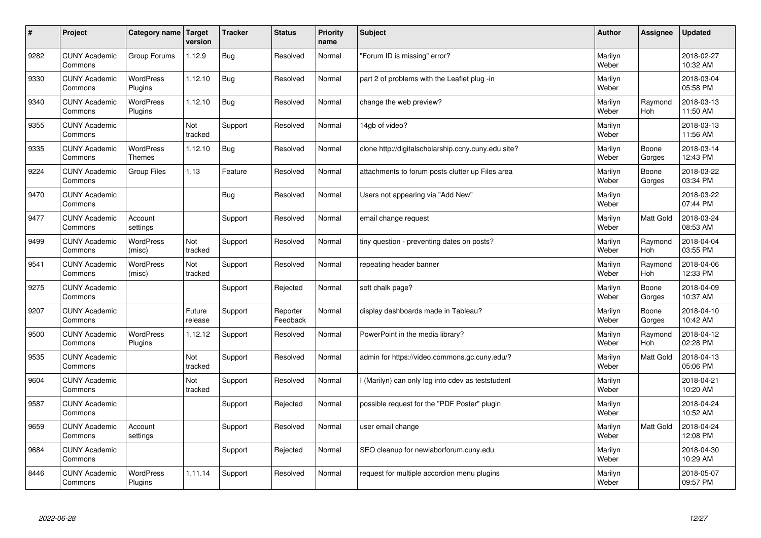| #    | Project                         | Category name                     | Target<br>version | <b>Tracker</b> | <b>Status</b>        | <b>Priority</b><br>name | <b>Subject</b>                                      | <b>Author</b>    | Assignee              | <b>Updated</b>         |
|------|---------------------------------|-----------------------------------|-------------------|----------------|----------------------|-------------------------|-----------------------------------------------------|------------------|-----------------------|------------------------|
| 9282 | <b>CUNY Academic</b><br>Commons | Group Forums                      | 1.12.9            | Bug            | Resolved             | Normal                  | 'Forum ID is missing" error?                        | Marilyn<br>Weber |                       | 2018-02-27<br>10:32 AM |
| 9330 | <b>CUNY Academic</b><br>Commons | <b>WordPress</b><br>Plugins       | 1.12.10           | Bug            | Resolved             | Normal                  | part 2 of problems with the Leaflet plug -in        | Marilyn<br>Weber |                       | 2018-03-04<br>05:58 PM |
| 9340 | <b>CUNY Academic</b><br>Commons | <b>WordPress</b><br>Plugins       | 1.12.10           | Bug            | Resolved             | Normal                  | change the web preview?                             | Marilyn<br>Weber | Raymond<br><b>Hoh</b> | 2018-03-13<br>11:50 AM |
| 9355 | <b>CUNY Academic</b><br>Commons |                                   | Not<br>tracked    | Support        | Resolved             | Normal                  | 14gb of video?                                      | Marilyn<br>Weber |                       | 2018-03-13<br>11:56 AM |
| 9335 | <b>CUNY Academic</b><br>Commons | <b>WordPress</b><br><b>Themes</b> | 1.12.10           | Bug            | Resolved             | Normal                  | clone http://digitalscholarship.ccny.cuny.edu site? | Marilyn<br>Weber | Boone<br>Gorges       | 2018-03-14<br>12:43 PM |
| 9224 | <b>CUNY Academic</b><br>Commons | <b>Group Files</b>                | 1.13              | Feature        | Resolved             | Normal                  | attachments to forum posts clutter up Files area    | Marilyn<br>Weber | Boone<br>Gorges       | 2018-03-22<br>03:34 PM |
| 9470 | <b>CUNY Academic</b><br>Commons |                                   |                   | Bug            | Resolved             | Normal                  | Users not appearing via "Add New"                   | Marilyn<br>Weber |                       | 2018-03-22<br>07:44 PM |
| 9477 | <b>CUNY Academic</b><br>Commons | Account<br>settings               |                   | Support        | Resolved             | Normal                  | email change request                                | Marilyn<br>Weber | Matt Gold             | 2018-03-24<br>08:53 AM |
| 9499 | <b>CUNY Academic</b><br>Commons | <b>WordPress</b><br>(misc)        | Not<br>tracked    | Support        | Resolved             | Normal                  | tiny question - preventing dates on posts?          | Marilyn<br>Weber | Raymond<br><b>Hoh</b> | 2018-04-04<br>03:55 PM |
| 9541 | <b>CUNY Academic</b><br>Commons | WordPress<br>(misc)               | Not<br>tracked    | Support        | Resolved             | Normal                  | repeating header banner                             | Marilyn<br>Weber | Raymond<br>Hoh        | 2018-04-06<br>12:33 PM |
| 9275 | <b>CUNY Academic</b><br>Commons |                                   |                   | Support        | Rejected             | Normal                  | soft chalk page?                                    | Marilyn<br>Weber | Boone<br>Gorges       | 2018-04-09<br>10:37 AM |
| 9207 | <b>CUNY Academic</b><br>Commons |                                   | Future<br>release | Support        | Reporter<br>Feedback | Normal                  | display dashboards made in Tableau?                 | Marilyn<br>Weber | Boone<br>Gorges       | 2018-04-10<br>10:42 AM |
| 9500 | <b>CUNY Academic</b><br>Commons | <b>WordPress</b><br>Plugins       | 1.12.12           | Support        | Resolved             | Normal                  | PowerPoint in the media library?                    | Marilyn<br>Weber | Raymond<br>Hoh        | 2018-04-12<br>02:28 PM |
| 9535 | <b>CUNY Academic</b><br>Commons |                                   | Not<br>tracked    | Support        | Resolved             | Normal                  | admin for https://video.commons.gc.cuny.edu/?       | Marilyn<br>Weber | Matt Gold             | 2018-04-13<br>05:06 PM |
| 9604 | <b>CUNY Academic</b><br>Commons |                                   | Not<br>tracked    | Support        | Resolved             | Normal                  | I (Marilyn) can only log into cdev as teststudent   | Marilyn<br>Weber |                       | 2018-04-21<br>10:20 AM |
| 9587 | <b>CUNY Academic</b><br>Commons |                                   |                   | Support        | Rejected             | Normal                  | possible request for the "PDF Poster" plugin        | Marilyn<br>Weber |                       | 2018-04-24<br>10:52 AM |
| 9659 | <b>CUNY Academic</b><br>Commons | Account<br>settings               |                   | Support        | Resolved             | Normal                  | user email change                                   | Marilyn<br>Weber | Matt Gold             | 2018-04-24<br>12:08 PM |
| 9684 | <b>CUNY Academic</b><br>Commons |                                   |                   | Support        | Rejected             | Normal                  | SEO cleanup for newlaborforum.cuny.edu              | Marilyn<br>Weber |                       | 2018-04-30<br>10:29 AM |
| 8446 | <b>CUNY Academic</b><br>Commons | <b>WordPress</b><br>Plugins       | 1.11.14           | Support        | Resolved             | Normal                  | request for multiple accordion menu plugins         | Marilyn<br>Weber |                       | 2018-05-07<br>09:57 PM |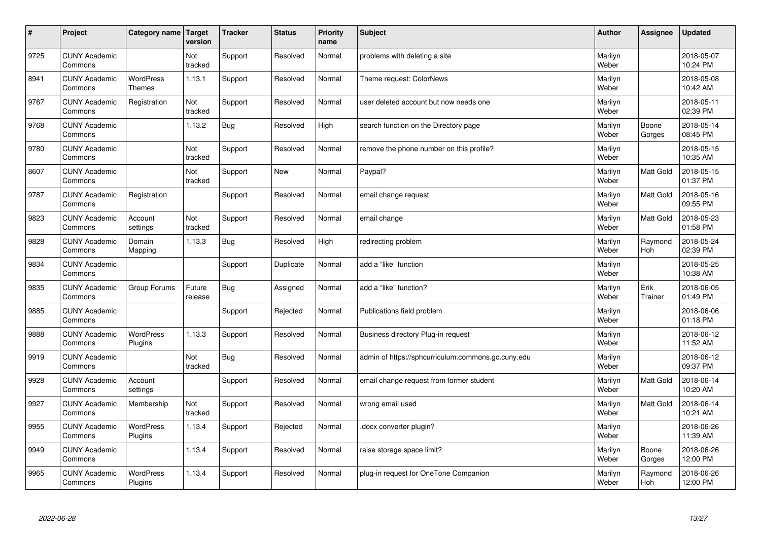| $\sharp$ | Project                         | Category name   Target            | version           | <b>Tracker</b> | <b>Status</b> | <b>Priority</b><br>name | <b>Subject</b>                                     | <b>Author</b>    | Assignee         | <b>Updated</b>         |
|----------|---------------------------------|-----------------------------------|-------------------|----------------|---------------|-------------------------|----------------------------------------------------|------------------|------------------|------------------------|
| 9725     | <b>CUNY Academic</b><br>Commons |                                   | Not<br>tracked    | Support        | Resolved      | Normal                  | problems with deleting a site                      | Marilyn<br>Weber |                  | 2018-05-07<br>10:24 PM |
| 8941     | <b>CUNY Academic</b><br>Commons | <b>WordPress</b><br><b>Themes</b> | 1.13.1            | Support        | Resolved      | Normal                  | Theme request: ColorNews                           | Marilyn<br>Weber |                  | 2018-05-08<br>10:42 AM |
| 9767     | <b>CUNY Academic</b><br>Commons | Registration                      | Not<br>tracked    | Support        | Resolved      | Normal                  | user deleted account but now needs one             | Marilyn<br>Weber |                  | 2018-05-11<br>02:39 PM |
| 9768     | <b>CUNY Academic</b><br>Commons |                                   | 1.13.2            | Bug            | Resolved      | High                    | search function on the Directory page              | Marilyn<br>Weber | Boone<br>Gorges  | 2018-05-14<br>08:45 PM |
| 9780     | <b>CUNY Academic</b><br>Commons |                                   | Not<br>tracked    | Support        | Resolved      | Normal                  | remove the phone number on this profile?           | Marilyn<br>Weber |                  | 2018-05-15<br>10:35 AM |
| 8607     | <b>CUNY Academic</b><br>Commons |                                   | Not<br>tracked    | Support        | <b>New</b>    | Normal                  | Paypal?                                            | Marilyn<br>Weber | Matt Gold        | 2018-05-15<br>01:37 PM |
| 9787     | <b>CUNY Academic</b><br>Commons | Registration                      |                   | Support        | Resolved      | Normal                  | email change request                               | Marilyn<br>Weber | Matt Gold        | 2018-05-16<br>09:55 PM |
| 9823     | <b>CUNY Academic</b><br>Commons | Account<br>settings               | Not<br>tracked    | Support        | Resolved      | Normal                  | email change                                       | Marilyn<br>Weber | Matt Gold        | 2018-05-23<br>01:58 PM |
| 9828     | <b>CUNY Academic</b><br>Commons | Domain<br>Mapping                 | 1.13.3            | <b>Bug</b>     | Resolved      | High                    | redirecting problem                                | Marilyn<br>Weber | Raymond<br>Hoh   | 2018-05-24<br>02:39 PM |
| 9834     | <b>CUNY Academic</b><br>Commons |                                   |                   | Support        | Duplicate     | Normal                  | add a "like" function                              | Marilyn<br>Weber |                  | 2018-05-25<br>10:38 AM |
| 9835     | <b>CUNY Academic</b><br>Commons | Group Forums                      | Future<br>release | Bug            | Assigned      | Normal                  | add a "like" function?                             | Marilyn<br>Weber | Erik<br>Trainer  | 2018-06-05<br>01:49 PM |
| 9885     | <b>CUNY Academic</b><br>Commons |                                   |                   | Support        | Rejected      | Normal                  | Publications field problem                         | Marilyn<br>Weber |                  | 2018-06-06<br>01:18 PM |
| 9888     | <b>CUNY Academic</b><br>Commons | <b>WordPress</b><br>Plugins       | 1.13.3            | Support        | Resolved      | Normal                  | Business directory Plug-in request                 | Marilyn<br>Weber |                  | 2018-06-12<br>11:52 AM |
| 9919     | <b>CUNY Academic</b><br>Commons |                                   | Not<br>tracked    | Bug            | Resolved      | Normal                  | admin of https://sphcurriculum.commons.gc.cuny.edu | Marilyn<br>Weber |                  | 2018-06-12<br>09:37 PM |
| 9928     | <b>CUNY Academic</b><br>Commons | Account<br>settings               |                   | Support        | Resolved      | Normal                  | email change request from former student           | Marilyn<br>Weber | Matt Gold        | 2018-06-14<br>10:20 AM |
| 9927     | <b>CUNY Academic</b><br>Commons | Membership                        | Not<br>tracked    | Support        | Resolved      | Normal                  | wrong email used                                   | Marilyn<br>Weber | <b>Matt Gold</b> | 2018-06-14<br>10:21 AM |
| 9955     | <b>CUNY Academic</b><br>Commons | WordPress<br>Plugins              | 1.13.4            | Support        | Rejected      | Normal                  | docx converter plugin?                             | Marilyn<br>Weber |                  | 2018-06-26<br>11:39 AM |
| 9949     | <b>CUNY Academic</b><br>Commons |                                   | 1.13.4            | Support        | Resolved      | Normal                  | raise storage space limit?                         | Marilyn<br>Weber | Boone<br>Gorges  | 2018-06-26<br>12:00 PM |
| 9965     | <b>CUNY Academic</b><br>Commons | <b>WordPress</b><br>Plugins       | 1.13.4            | Support        | Resolved      | Normal                  | plug-in request for OneTone Companion              | Marilyn<br>Weber | Raymond<br>Hoh   | 2018-06-26<br>12:00 PM |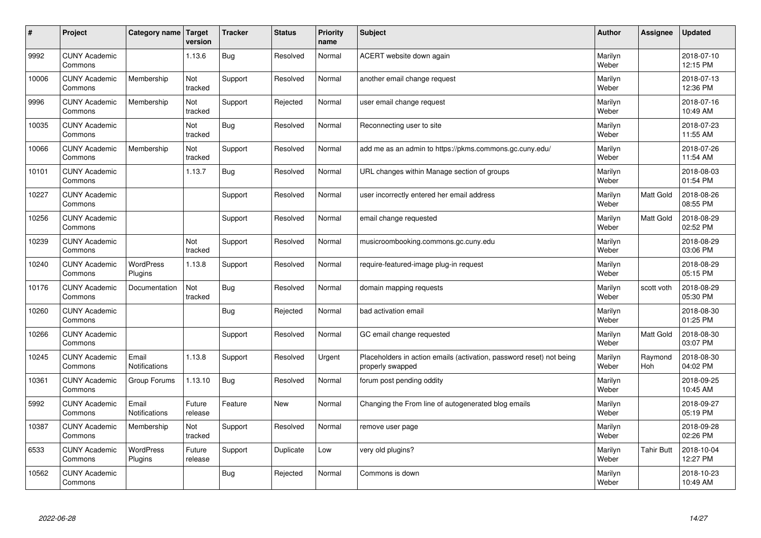| #     | Project                         | Category name                 | Target<br>version | <b>Tracker</b> | <b>Status</b> | <b>Priority</b><br>name | <b>Subject</b>                                                                           | <b>Author</b>    | Assignee          | <b>Updated</b>         |
|-------|---------------------------------|-------------------------------|-------------------|----------------|---------------|-------------------------|------------------------------------------------------------------------------------------|------------------|-------------------|------------------------|
| 9992  | <b>CUNY Academic</b><br>Commons |                               | 1.13.6            | Bug            | Resolved      | Normal                  | ACERT website down again                                                                 | Marilyn<br>Weber |                   | 2018-07-10<br>12:15 PM |
| 10006 | <b>CUNY Academic</b><br>Commons | Membership                    | Not<br>tracked    | Support        | Resolved      | Normal                  | another email change request                                                             | Marilyn<br>Weber |                   | 2018-07-13<br>12:36 PM |
| 9996  | <b>CUNY Academic</b><br>Commons | Membership                    | Not<br>tracked    | Support        | Rejected      | Normal                  | user email change request                                                                | Marilyn<br>Weber |                   | 2018-07-16<br>10:49 AM |
| 10035 | <b>CUNY Academic</b><br>Commons |                               | Not<br>tracked    | Bug            | Resolved      | Normal                  | Reconnecting user to site                                                                | Marilyn<br>Weber |                   | 2018-07-23<br>11:55 AM |
| 10066 | <b>CUNY Academic</b><br>Commons | Membership                    | Not<br>tracked    | Support        | Resolved      | Normal                  | add me as an admin to https://pkms.commons.gc.cuny.edu/                                  | Marilyn<br>Weber |                   | 2018-07-26<br>11:54 AM |
| 10101 | <b>CUNY Academic</b><br>Commons |                               | 1.13.7            | Bug            | Resolved      | Normal                  | URL changes within Manage section of groups                                              | Marilyn<br>Weber |                   | 2018-08-03<br>01:54 PM |
| 10227 | <b>CUNY Academic</b><br>Commons |                               |                   | Support        | Resolved      | Normal                  | user incorrectly entered her email address                                               | Marilyn<br>Weber | Matt Gold         | 2018-08-26<br>08:55 PM |
| 10256 | <b>CUNY Academic</b><br>Commons |                               |                   | Support        | Resolved      | Normal                  | email change requested                                                                   | Marilyn<br>Weber | Matt Gold         | 2018-08-29<br>02:52 PM |
| 10239 | <b>CUNY Academic</b><br>Commons |                               | Not<br>tracked    | Support        | Resolved      | Normal                  | musicroombooking.commons.gc.cuny.edu                                                     | Marilyn<br>Weber |                   | 2018-08-29<br>03:06 PM |
| 10240 | <b>CUNY Academic</b><br>Commons | WordPress<br>Plugins          | 1.13.8            | Support        | Resolved      | Normal                  | require-featured-image plug-in request                                                   | Marilyn<br>Weber |                   | 2018-08-29<br>05:15 PM |
| 10176 | <b>CUNY Academic</b><br>Commons | Documentation                 | Not<br>tracked    | Bug            | Resolved      | Normal                  | domain mapping requests                                                                  | Marilyn<br>Weber | scott voth        | 2018-08-29<br>05:30 PM |
| 10260 | <b>CUNY Academic</b><br>Commons |                               |                   | Bug            | Rejected      | Normal                  | bad activation email                                                                     | Marilyn<br>Weber |                   | 2018-08-30<br>01:25 PM |
| 10266 | <b>CUNY Academic</b><br>Commons |                               |                   | Support        | Resolved      | Normal                  | GC email change requested                                                                | Marilyn<br>Weber | Matt Gold         | 2018-08-30<br>03:07 PM |
| 10245 | <b>CUNY Academic</b><br>Commons | Email<br><b>Notifications</b> | 1.13.8            | Support        | Resolved      | Urgent                  | Placeholders in action emails (activation, password reset) not being<br>properly swapped | Marilyn<br>Weber | Raymond<br>Hoh    | 2018-08-30<br>04:02 PM |
| 10361 | <b>CUNY Academic</b><br>Commons | Group Forums                  | 1.13.10           | Bug            | Resolved      | Normal                  | forum post pending oddity                                                                | Marilyn<br>Weber |                   | 2018-09-25<br>10:45 AM |
| 5992  | <b>CUNY Academic</b><br>Commons | Email<br><b>Notifications</b> | Future<br>release | Feature        | <b>New</b>    | Normal                  | Changing the From line of autogenerated blog emails                                      | Marilyn<br>Weber |                   | 2018-09-27<br>05:19 PM |
| 10387 | <b>CUNY Academic</b><br>Commons | Membership                    | Not<br>tracked    | Support        | Resolved      | Normal                  | remove user page                                                                         | Marilyn<br>Weber |                   | 2018-09-28<br>02:26 PM |
| 6533  | <b>CUNY Academic</b><br>Commons | <b>WordPress</b><br>Plugins   | Future<br>release | Support        | Duplicate     | Low                     | very old plugins?                                                                        | Marilyn<br>Weber | <b>Tahir Butt</b> | 2018-10-04<br>12:27 PM |
| 10562 | <b>CUNY Academic</b><br>Commons |                               |                   | Bug            | Rejected      | Normal                  | Commons is down                                                                          | Marilyn<br>Weber |                   | 2018-10-23<br>10:49 AM |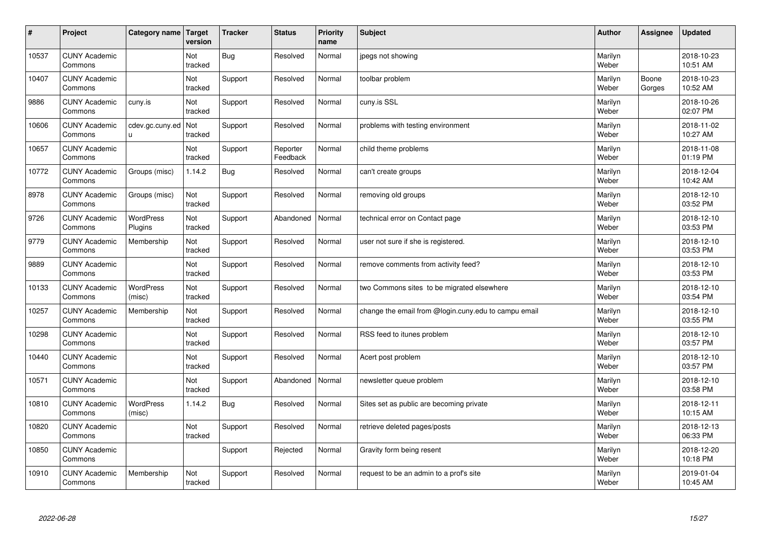| $\vert$ # | Project                         | Category name               | Target<br>version | <b>Tracker</b> | <b>Status</b>        | <b>Priority</b><br>name | <b>Subject</b>                                       | <b>Author</b>    | Assignee        | <b>Updated</b>         |
|-----------|---------------------------------|-----------------------------|-------------------|----------------|----------------------|-------------------------|------------------------------------------------------|------------------|-----------------|------------------------|
| 10537     | <b>CUNY Academic</b><br>Commons |                             | Not<br>tracked    | <b>Bug</b>     | Resolved             | Normal                  | jpegs not showing                                    | Marilyn<br>Weber |                 | 2018-10-23<br>10:51 AM |
| 10407     | <b>CUNY Academic</b><br>Commons |                             | Not<br>tracked    | Support        | Resolved             | Normal                  | toolbar problem                                      | Marilyn<br>Weber | Boone<br>Gorges | 2018-10-23<br>10:52 AM |
| 9886      | <b>CUNY Academic</b><br>Commons | cuny.is                     | Not<br>tracked    | Support        | Resolved             | Normal                  | cuny.is SSL                                          | Marilyn<br>Weber |                 | 2018-10-26<br>02:07 PM |
| 10606     | <b>CUNY Academic</b><br>Commons | cdev.gc.cuny.ed<br>u.       | Not<br>tracked    | Support        | Resolved             | Normal                  | problems with testing environment                    | Marilyn<br>Weber |                 | 2018-11-02<br>10:27 AM |
| 10657     | <b>CUNY Academic</b><br>Commons |                             | Not<br>tracked    | Support        | Reporter<br>Feedback | Normal                  | child theme problems                                 | Marilyn<br>Weber |                 | 2018-11-08<br>01:19 PM |
| 10772     | <b>CUNY Academic</b><br>Commons | Groups (misc)               | 1.14.2            | Bug            | Resolved             | Normal                  | can't create groups                                  | Marilyn<br>Weber |                 | 2018-12-04<br>10:42 AM |
| 8978      | <b>CUNY Academic</b><br>Commons | Groups (misc)               | Not<br>tracked    | Support        | Resolved             | Normal                  | removing old groups                                  | Marilyn<br>Weber |                 | 2018-12-10<br>03:52 PM |
| 9726      | <b>CUNY Academic</b><br>Commons | <b>WordPress</b><br>Plugins | Not<br>tracked    | Support        | Abandoned            | Normal                  | technical error on Contact page                      | Marilyn<br>Weber |                 | 2018-12-10<br>03:53 PM |
| 9779      | <b>CUNY Academic</b><br>Commons | Membership                  | Not<br>tracked    | Support        | Resolved             | Normal                  | user not sure if she is registered.                  | Marilyn<br>Weber |                 | 2018-12-10<br>03:53 PM |
| 9889      | <b>CUNY Academic</b><br>Commons |                             | Not<br>tracked    | Support        | Resolved             | Normal                  | remove comments from activity feed?                  | Marilyn<br>Weber |                 | 2018-12-10<br>03:53 PM |
| 10133     | <b>CUNY Academic</b><br>Commons | WordPress<br>(misc)         | Not<br>tracked    | Support        | Resolved             | Normal                  | two Commons sites to be migrated elsewhere           | Marilyn<br>Weber |                 | 2018-12-10<br>03:54 PM |
| 10257     | <b>CUNY Academic</b><br>Commons | Membership                  | Not<br>tracked    | Support        | Resolved             | Normal                  | change the email from @login.cuny.edu to campu email | Marilyn<br>Weber |                 | 2018-12-10<br>03:55 PM |
| 10298     | <b>CUNY Academic</b><br>Commons |                             | Not<br>tracked    | Support        | Resolved             | Normal                  | RSS feed to itunes problem                           | Marilyn<br>Weber |                 | 2018-12-10<br>03:57 PM |
| 10440     | <b>CUNY Academic</b><br>Commons |                             | Not<br>tracked    | Support        | Resolved             | Normal                  | Acert post problem                                   | Marilyn<br>Weber |                 | 2018-12-10<br>03:57 PM |
| 10571     | <b>CUNY Academic</b><br>Commons |                             | Not<br>tracked    | Support        | Abandoned            | Normal                  | newsletter queue problem                             | Marilyn<br>Weber |                 | 2018-12-10<br>03:58 PM |
| 10810     | <b>CUNY Academic</b><br>Commons | <b>WordPress</b><br>(misc)  | 1.14.2            | <b>Bug</b>     | Resolved             | Normal                  | Sites set as public are becoming private             | Marilyn<br>Weber |                 | 2018-12-11<br>10:15 AM |
| 10820     | <b>CUNY Academic</b><br>Commons |                             | Not<br>tracked    | Support        | Resolved             | Normal                  | retrieve deleted pages/posts                         | Marilyn<br>Weber |                 | 2018-12-13<br>06:33 PM |
| 10850     | <b>CUNY Academic</b><br>Commons |                             |                   | Support        | Rejected             | Normal                  | Gravity form being resent                            | Marilyn<br>Weber |                 | 2018-12-20<br>10:18 PM |
| 10910     | <b>CUNY Academic</b><br>Commons | Membership                  | Not<br>tracked    | Support        | Resolved             | Normal                  | request to be an admin to a prof's site              | Marilyn<br>Weber |                 | 2019-01-04<br>10:45 AM |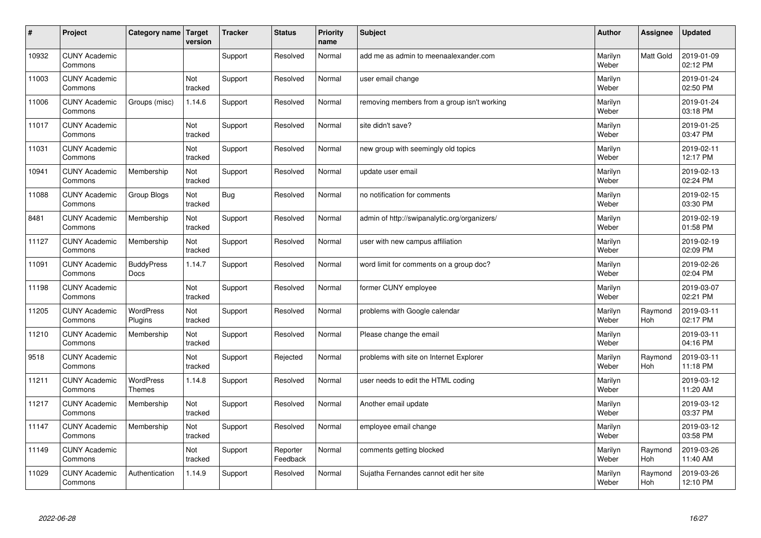| $\pmb{\#}$ | Project                         | Category name                     | Target<br>version | <b>Tracker</b> | <b>Status</b>        | <b>Priority</b><br>name | <b>Subject</b>                               | <b>Author</b>    | Assignee       | <b>Updated</b>         |
|------------|---------------------------------|-----------------------------------|-------------------|----------------|----------------------|-------------------------|----------------------------------------------|------------------|----------------|------------------------|
| 10932      | <b>CUNY Academic</b><br>Commons |                                   |                   | Support        | Resolved             | Normal                  | add me as admin to meenaalexander.com        | Marilyn<br>Weber | Matt Gold      | 2019-01-09<br>02:12 PM |
| 11003      | <b>CUNY Academic</b><br>Commons |                                   | Not<br>tracked    | Support        | Resolved             | Normal                  | user email change                            | Marilyn<br>Weber |                | 2019-01-24<br>02:50 PM |
| 11006      | <b>CUNY Academic</b><br>Commons | Groups (misc)                     | 1.14.6            | Support        | Resolved             | Normal                  | removing members from a group isn't working  | Marilyn<br>Weber |                | 2019-01-24<br>03:18 PM |
| 11017      | <b>CUNY Academic</b><br>Commons |                                   | Not<br>tracked    | Support        | Resolved             | Normal                  | site didn't save?                            | Marilyn<br>Weber |                | 2019-01-25<br>03:47 PM |
| 11031      | <b>CUNY Academic</b><br>Commons |                                   | Not<br>tracked    | Support        | Resolved             | Normal                  | new group with seemingly old topics          | Marilyn<br>Weber |                | 2019-02-11<br>12:17 PM |
| 10941      | <b>CUNY Academic</b><br>Commons | Membership                        | Not<br>tracked    | Support        | Resolved             | Normal                  | update user email                            | Marilyn<br>Weber |                | 2019-02-13<br>02:24 PM |
| 11088      | <b>CUNY Academic</b><br>Commons | Group Blogs                       | Not<br>tracked    | <b>Bug</b>     | Resolved             | Normal                  | no notification for comments                 | Marilyn<br>Weber |                | 2019-02-15<br>03:30 PM |
| 8481       | <b>CUNY Academic</b><br>Commons | Membership                        | Not<br>tracked    | Support        | Resolved             | Normal                  | admin of http://swipanalytic.org/organizers/ | Marilyn<br>Weber |                | 2019-02-19<br>01:58 PM |
| 11127      | <b>CUNY Academic</b><br>Commons | Membership                        | Not<br>tracked    | Support        | Resolved             | Normal                  | user with new campus affiliation             | Marilyn<br>Weber |                | 2019-02-19<br>02:09 PM |
| 11091      | <b>CUNY Academic</b><br>Commons | <b>BuddyPress</b><br>Docs         | 1.14.7            | Support        | Resolved             | Normal                  | word limit for comments on a group doc?      | Marilyn<br>Weber |                | 2019-02-26<br>02:04 PM |
| 11198      | <b>CUNY Academic</b><br>Commons |                                   | Not<br>tracked    | Support        | Resolved             | Normal                  | former CUNY employee                         | Marilyn<br>Weber |                | 2019-03-07<br>02:21 PM |
| 11205      | <b>CUNY Academic</b><br>Commons | <b>WordPress</b><br>Plugins       | Not<br>tracked    | Support        | Resolved             | Normal                  | problems with Google calendar                | Marilyn<br>Weber | Raymond<br>Hoh | 2019-03-11<br>02:17 PM |
| 11210      | <b>CUNY Academic</b><br>Commons | Membership                        | Not<br>tracked    | Support        | Resolved             | Normal                  | Please change the email                      | Marilyn<br>Weber |                | 2019-03-11<br>04:16 PM |
| 9518       | <b>CUNY Academic</b><br>Commons |                                   | Not<br>tracked    | Support        | Rejected             | Normal                  | problems with site on Internet Explorer      | Marilyn<br>Weber | Raymond<br>Hoh | 2019-03-11<br>11:18 PM |
| 11211      | <b>CUNY Academic</b><br>Commons | <b>WordPress</b><br><b>Themes</b> | 1.14.8            | Support        | Resolved             | Normal                  | user needs to edit the HTML coding           | Marilyn<br>Weber |                | 2019-03-12<br>11:20 AM |
| 11217      | <b>CUNY Academic</b><br>Commons | Membership                        | Not<br>tracked    | Support        | Resolved             | Normal                  | Another email update                         | Marilyn<br>Weber |                | 2019-03-12<br>03:37 PM |
| 11147      | <b>CUNY Academic</b><br>Commons | Membership                        | Not<br>tracked    | Support        | Resolved             | Normal                  | employee email change                        | Marilyn<br>Weber |                | 2019-03-12<br>03:58 PM |
| 11149      | <b>CUNY Academic</b><br>Commons |                                   | Not<br>tracked    | Support        | Reporter<br>Feedback | Normal                  | comments getting blocked                     | Marilyn<br>Weber | Raymond<br>Hoh | 2019-03-26<br>11:40 AM |
| 11029      | <b>CUNY Academic</b><br>Commons | Authentication                    | 1.14.9            | Support        | Resolved             | Normal                  | Suiatha Fernandes cannot edit her site       | Marilyn<br>Weber | Raymond<br>Hoh | 2019-03-26<br>12:10 PM |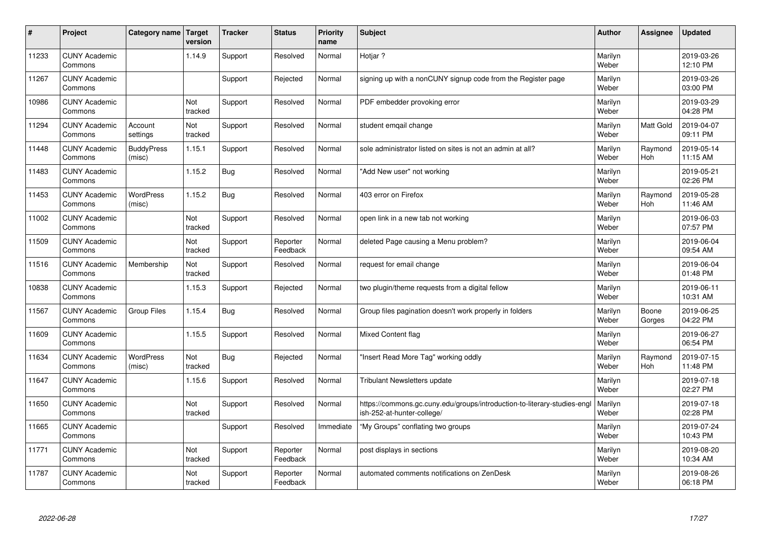| $\vert$ # | Project                         | Category name               | Target<br>version | <b>Tracker</b> | <b>Status</b>        | <b>Priority</b><br>name | <b>Subject</b>                                                                                         | <b>Author</b>    | Assignee              | <b>Updated</b>         |
|-----------|---------------------------------|-----------------------------|-------------------|----------------|----------------------|-------------------------|--------------------------------------------------------------------------------------------------------|------------------|-----------------------|------------------------|
| 11233     | <b>CUNY Academic</b><br>Commons |                             | 1.14.9            | Support        | Resolved             | Normal                  | Hotiar?                                                                                                | Marilyn<br>Weber |                       | 2019-03-26<br>12:10 PM |
| 11267     | <b>CUNY Academic</b><br>Commons |                             |                   | Support        | Rejected             | Normal                  | signing up with a nonCUNY signup code from the Register page                                           | Marilyn<br>Weber |                       | 2019-03-26<br>03:00 PM |
| 10986     | <b>CUNY Academic</b><br>Commons |                             | Not<br>tracked    | Support        | Resolved             | Normal                  | PDF embedder provoking error                                                                           | Marilyn<br>Weber |                       | 2019-03-29<br>04:28 PM |
| 11294     | <b>CUNY Academic</b><br>Commons | Account<br>settings         | Not<br>tracked    | Support        | Resolved             | Normal                  | student emqail change                                                                                  | Marilyn<br>Weber | Matt Gold             | 2019-04-07<br>09:11 PM |
| 11448     | <b>CUNY Academic</b><br>Commons | <b>BuddyPress</b><br>(misc) | 1.15.1            | Support        | Resolved             | Normal                  | sole administrator listed on sites is not an admin at all?                                             | Marilyn<br>Weber | Raymond<br>Hoh        | 2019-05-14<br>11:15 AM |
| 11483     | <b>CUNY Academic</b><br>Commons |                             | 1.15.2            | Bug            | Resolved             | Normal                  | 'Add New user" not working                                                                             | Marilyn<br>Weber |                       | 2019-05-21<br>02:26 PM |
| 11453     | <b>CUNY Academic</b><br>Commons | <b>WordPress</b><br>(misc)  | 1.15.2            | <b>Bug</b>     | Resolved             | Normal                  | 403 error on Firefox                                                                                   | Marilyn<br>Weber | Raymond<br><b>Hoh</b> | 2019-05-28<br>11:46 AM |
| 11002     | <b>CUNY Academic</b><br>Commons |                             | Not<br>tracked    | Support        | Resolved             | Normal                  | open link in a new tab not working                                                                     | Marilyn<br>Weber |                       | 2019-06-03<br>07:57 PM |
| 11509     | <b>CUNY Academic</b><br>Commons |                             | Not<br>tracked    | Support        | Reporter<br>Feedback | Normal                  | deleted Page causing a Menu problem?                                                                   | Marilyn<br>Weber |                       | 2019-06-04<br>09:54 AM |
| 11516     | <b>CUNY Academic</b><br>Commons | Membership                  | Not<br>tracked    | Support        | Resolved             | Normal                  | request for email change                                                                               | Marilyn<br>Weber |                       | 2019-06-04<br>01:48 PM |
| 10838     | <b>CUNY Academic</b><br>Commons |                             | 1.15.3            | Support        | Rejected             | Normal                  | two plugin/theme requests from a digital fellow                                                        | Marilyn<br>Weber |                       | 2019-06-11<br>10:31 AM |
| 11567     | <b>CUNY Academic</b><br>Commons | <b>Group Files</b>          | 1.15.4            | Bug            | Resolved             | Normal                  | Group files pagination doesn't work properly in folders                                                | Marilyn<br>Weber | Boone<br>Gorges       | 2019-06-25<br>04:22 PM |
| 11609     | <b>CUNY Academic</b><br>Commons |                             | 1.15.5            | Support        | Resolved             | Normal                  | Mixed Content flag                                                                                     | Marilyn<br>Weber |                       | 2019-06-27<br>06:54 PM |
| 11634     | <b>CUNY Academic</b><br>Commons | <b>WordPress</b><br>(misc)  | Not<br>tracked    | <b>Bug</b>     | Rejected             | Normal                  | 'Insert Read More Tag" working oddly                                                                   | Marilyn<br>Weber | Raymond<br>Hoh        | 2019-07-15<br>11:48 PM |
| 11647     | <b>CUNY Academic</b><br>Commons |                             | 1.15.6            | Support        | Resolved             | Normal                  | Tribulant Newsletters update                                                                           | Marilyn<br>Weber |                       | 2019-07-18<br>02:27 PM |
| 11650     | <b>CUNY Academic</b><br>Commons |                             | Not<br>tracked    | Support        | Resolved             | Normal                  | https://commons.gc.cuny.edu/groups/introduction-to-literary-studies-engl<br>ish-252-at-hunter-college/ | Marilyn<br>Weber |                       | 2019-07-18<br>02:28 PM |
| 11665     | <b>CUNY Academic</b><br>Commons |                             |                   | Support        | Resolved             | Immediate               | "My Groups" conflating two groups                                                                      | Marilyn<br>Weber |                       | 2019-07-24<br>10:43 PM |
| 11771     | <b>CUNY Academic</b><br>Commons |                             | Not<br>tracked    | Support        | Reporter<br>Feedback | Normal                  | post displays in sections                                                                              | Marilyn<br>Weber |                       | 2019-08-20<br>10:34 AM |
| 11787     | <b>CUNY Academic</b><br>Commons |                             | Not<br>tracked    | Support        | Reporter<br>Feedback | Normal                  | automated comments notifications on ZenDesk                                                            | Marilyn<br>Weber |                       | 2019-08-26<br>06:18 PM |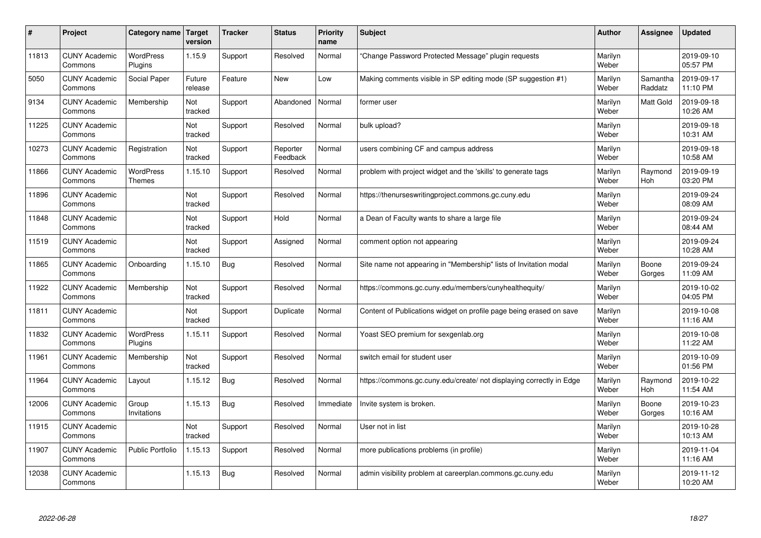| #     | Project                         | Category name   Target      | version           | <b>Tracker</b> | <b>Status</b>        | <b>Priority</b><br>name | <b>Subject</b>                                                       | <b>Author</b>    | <b>Assignee</b>     | <b>Updated</b>         |
|-------|---------------------------------|-----------------------------|-------------------|----------------|----------------------|-------------------------|----------------------------------------------------------------------|------------------|---------------------|------------------------|
| 11813 | <b>CUNY Academic</b><br>Commons | <b>WordPress</b><br>Plugins | 1.15.9            | Support        | Resolved             | Normal                  | 'Change Password Protected Message" plugin requests                  | Marilyn<br>Weber |                     | 2019-09-10<br>05:57 PM |
| 5050  | <b>CUNY Academic</b><br>Commons | Social Paper                | Future<br>release | Feature        | <b>New</b>           | Low                     | Making comments visible in SP editing mode (SP suggestion #1)        | Marilyn<br>Weber | Samantha<br>Raddatz | 2019-09-17<br>11:10 PM |
| 9134  | <b>CUNY Academic</b><br>Commons | Membership                  | Not<br>tracked    | Support        | Abandoned            | Normal                  | former user                                                          | Marilyn<br>Weber | <b>Matt Gold</b>    | 2019-09-18<br>10:26 AM |
| 11225 | <b>CUNY Academic</b><br>Commons |                             | Not<br>tracked    | Support        | Resolved             | Normal                  | bulk upload?                                                         | Marilyn<br>Weber |                     | 2019-09-18<br>10:31 AM |
| 10273 | <b>CUNY Academic</b><br>Commons | Registration                | Not<br>tracked    | Support        | Reporter<br>Feedback | Normal                  | users combining CF and campus address                                | Marilyn<br>Weber |                     | 2019-09-18<br>10:58 AM |
| 11866 | <b>CUNY Academic</b><br>Commons | <b>WordPress</b><br>Themes  | 1.15.10           | Support        | Resolved             | Normal                  | problem with project widget and the 'skills' to generate tags        | Marilyn<br>Weber | Raymond<br>Hoh      | 2019-09-19<br>03:20 PM |
| 11896 | <b>CUNY Academic</b><br>Commons |                             | Not<br>tracked    | Support        | Resolved             | Normal                  | https://thenurseswritingproject.commons.gc.cuny.edu                  | Marilyn<br>Weber |                     | 2019-09-24<br>08:09 AM |
| 11848 | <b>CUNY Academic</b><br>Commons |                             | Not<br>tracked    | Support        | Hold                 | Normal                  | a Dean of Faculty wants to share a large file                        | Marilyn<br>Weber |                     | 2019-09-24<br>08:44 AM |
| 11519 | <b>CUNY Academic</b><br>Commons |                             | Not<br>tracked    | Support        | Assigned             | Normal                  | comment option not appearing                                         | Marilyn<br>Weber |                     | 2019-09-24<br>10:28 AM |
| 11865 | <b>CUNY Academic</b><br>Commons | Onboarding                  | 1.15.10           | Bug            | Resolved             | Normal                  | Site name not appearing in "Membership" lists of Invitation modal    | Marilyn<br>Weber | Boone<br>Gorges     | 2019-09-24<br>11:09 AM |
| 11922 | <b>CUNY Academic</b><br>Commons | Membership                  | Not<br>tracked    | Support        | Resolved             | Normal                  | https://commons.gc.cuny.edu/members/cunyhealthequity/                | Marilyn<br>Weber |                     | 2019-10-02<br>04:05 PM |
| 11811 | <b>CUNY Academic</b><br>Commons |                             | Not<br>tracked    | Support        | Duplicate            | Normal                  | Content of Publications widget on profile page being erased on save  | Marilyn<br>Weber |                     | 2019-10-08<br>11:16 AM |
| 11832 | <b>CUNY Academic</b><br>Commons | <b>WordPress</b><br>Plugins | 1.15.11           | Support        | Resolved             | Normal                  | Yoast SEO premium for sexgenlab.org                                  | Marilyn<br>Weber |                     | 2019-10-08<br>11:22 AM |
| 11961 | <b>CUNY Academic</b><br>Commons | Membership                  | Not<br>tracked    | Support        | Resolved             | Normal                  | switch email for student user                                        | Marilyn<br>Weber |                     | 2019-10-09<br>01:56 PM |
| 11964 | <b>CUNY Academic</b><br>Commons | Layout                      | 1.15.12           | Bug            | Resolved             | Normal                  | https://commons.gc.cuny.edu/create/ not displaying correctly in Edge | Marilyn<br>Weber | Raymond<br>Hoh      | 2019-10-22<br>11:54 AM |
| 12006 | <b>CUNY Academic</b><br>Commons | Group<br>Invitations        | 1.15.13           | Bug            | Resolved             | Immediate               | Invite system is broken.                                             | Marilyn<br>Weber | Boone<br>Gorges     | 2019-10-23<br>10:16 AM |
| 11915 | <b>CUNY Academic</b><br>Commons |                             | Not<br>tracked    | Support        | Resolved             | Normal                  | User not in list                                                     | Marilyn<br>Weber |                     | 2019-10-28<br>10:13 AM |
| 11907 | <b>CUNY Academic</b><br>Commons | <b>Public Portfolio</b>     | 1.15.13           | Support        | Resolved             | Normal                  | more publications problems (in profile)                              | Marilyn<br>Weber |                     | 2019-11-04<br>11:16 AM |
| 12038 | <b>CUNY Academic</b><br>Commons |                             | 1.15.13           | Bug            | Resolved             | Normal                  | admin visibility problem at careerplan.commons.gc.cuny.edu           | Marilyn<br>Weber |                     | 2019-11-12<br>10:20 AM |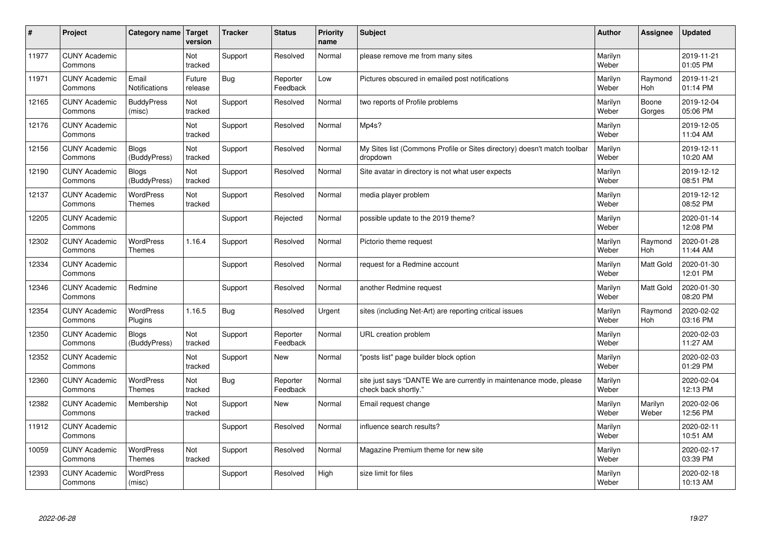| $\vert$ # | Project                         | Category name                     | Target<br>version | <b>Tracker</b> | <b>Status</b>        | <b>Priority</b><br>name | <b>Subject</b>                                                                             | <b>Author</b>    | Assignee         | Updated                |
|-----------|---------------------------------|-----------------------------------|-------------------|----------------|----------------------|-------------------------|--------------------------------------------------------------------------------------------|------------------|------------------|------------------------|
| 11977     | <b>CUNY Academic</b><br>Commons |                                   | Not<br>tracked    | Support        | Resolved             | Normal                  | please remove me from many sites                                                           | Marilyn<br>Weber |                  | 2019-11-21<br>01:05 PM |
| 11971     | <b>CUNY Academic</b><br>Commons | Email<br><b>Notifications</b>     | Future<br>release | Bug            | Reporter<br>Feedback | Low                     | Pictures obscured in emailed post notifications                                            | Marilyn<br>Weber | Raymond<br>Hoh   | 2019-11-21<br>01:14 PM |
| 12165     | <b>CUNY Academic</b><br>Commons | <b>BuddyPress</b><br>(misc)       | Not<br>tracked    | Support        | Resolved             | Normal                  | two reports of Profile problems                                                            | Marilyn<br>Weber | Boone<br>Gorges  | 2019-12-04<br>05:06 PM |
| 12176     | <b>CUNY Academic</b><br>Commons |                                   | Not<br>tracked    | Support        | Resolved             | Normal                  | Mp4s?                                                                                      | Marilyn<br>Weber |                  | 2019-12-05<br>11:04 AM |
| 12156     | <b>CUNY Academic</b><br>Commons | <b>Blogs</b><br>(BuddyPress)      | Not<br>tracked    | Support        | Resolved             | Normal                  | My Sites list (Commons Profile or Sites directory) doesn't match toolbar<br>dropdown       | Marilyn<br>Weber |                  | 2019-12-11<br>10:20 AM |
| 12190     | <b>CUNY Academic</b><br>Commons | <b>Blogs</b><br>(BuddyPress)      | Not<br>tracked    | Support        | Resolved             | Normal                  | Site avatar in directory is not what user expects                                          | Marilyn<br>Weber |                  | 2019-12-12<br>08:51 PM |
| 12137     | <b>CUNY Academic</b><br>Commons | <b>WordPress</b><br><b>Themes</b> | Not<br>tracked    | Support        | Resolved             | Normal                  | media player problem                                                                       | Marilyn<br>Weber |                  | 2019-12-12<br>08:52 PM |
| 12205     | <b>CUNY Academic</b><br>Commons |                                   |                   | Support        | Rejected             | Normal                  | possible update to the 2019 theme?                                                         | Marilyn<br>Weber |                  | 2020-01-14<br>12:08 PM |
| 12302     | <b>CUNY Academic</b><br>Commons | <b>WordPress</b><br><b>Themes</b> | 1.16.4            | Support        | Resolved             | Normal                  | Pictorio theme request                                                                     | Marilyn<br>Weber | Raymond<br>Hoh   | 2020-01-28<br>11:44 AM |
| 12334     | <b>CUNY Academic</b><br>Commons |                                   |                   | Support        | Resolved             | Normal                  | request for a Redmine account                                                              | Marilyn<br>Weber | <b>Matt Gold</b> | 2020-01-30<br>12:01 PM |
| 12346     | <b>CUNY Academic</b><br>Commons | Redmine                           |                   | Support        | Resolved             | Normal                  | another Redmine request                                                                    | Marilyn<br>Weber | <b>Matt Gold</b> | 2020-01-30<br>08:20 PM |
| 12354     | <b>CUNY Academic</b><br>Commons | <b>WordPress</b><br>Plugins       | 1.16.5            | Bug            | Resolved             | Urgent                  | sites (including Net-Art) are reporting critical issues                                    | Marilyn<br>Weber | Raymond<br>Hoh   | 2020-02-02<br>03:16 PM |
| 12350     | <b>CUNY Academic</b><br>Commons | <b>Blogs</b><br>(BuddyPress)      | Not<br>tracked    | Support        | Reporter<br>Feedback | Normal                  | URL creation problem                                                                       | Marilyn<br>Weber |                  | 2020-02-03<br>11:27 AM |
| 12352     | <b>CUNY Academic</b><br>Commons |                                   | Not<br>tracked    | Support        | <b>New</b>           | Normal                  | 'posts list" page builder block option                                                     | Marilyn<br>Weber |                  | 2020-02-03<br>01:29 PM |
| 12360     | <b>CUNY Academic</b><br>Commons | <b>WordPress</b><br><b>Themes</b> | Not<br>tracked    | Bug            | Reporter<br>Feedback | Normal                  | site just says "DANTE We are currently in maintenance mode, please<br>check back shortly." | Marilyn<br>Weber |                  | 2020-02-04<br>12:13 PM |
| 12382     | <b>CUNY Academic</b><br>Commons | Membership                        | Not<br>tracked    | Support        | <b>New</b>           | Normal                  | Email request change                                                                       | Marilyn<br>Weber | Marilyn<br>Weber | 2020-02-06<br>12:56 PM |
| 11912     | <b>CUNY Academic</b><br>Commons |                                   |                   | Support        | Resolved             | Normal                  | influence search results?                                                                  | Marilyn<br>Weber |                  | 2020-02-11<br>10:51 AM |
| 10059     | <b>CUNY Academic</b><br>Commons | <b>WordPress</b><br><b>Themes</b> | Not<br>tracked    | Support        | Resolved             | Normal                  | Magazine Premium theme for new site                                                        | Marilyn<br>Weber |                  | 2020-02-17<br>03:39 PM |
| 12393     | <b>CUNY Academic</b><br>Commons | <b>WordPress</b><br>(misc)        |                   | Support        | Resolved             | High                    | size limit for files                                                                       | Marilyn<br>Weber |                  | 2020-02-18<br>10:13 AM |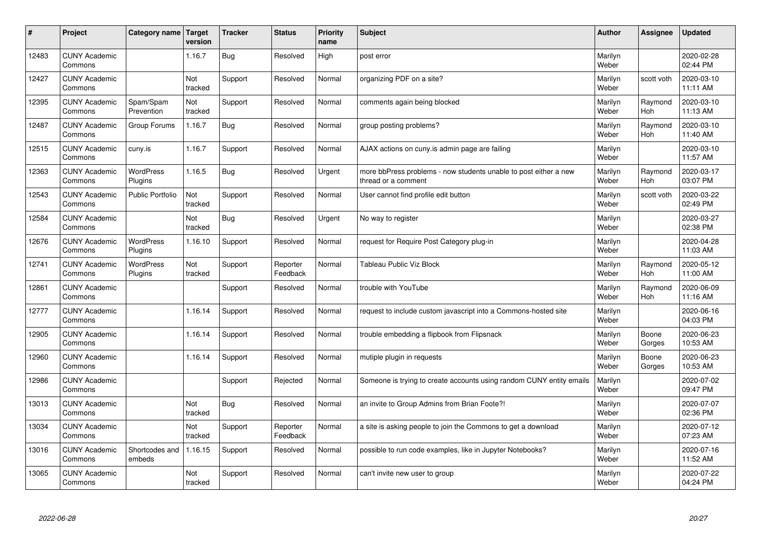| $\sharp$ | Project                         | Category name   Target      | version        | <b>Tracker</b> | <b>Status</b>        | <b>Priority</b><br>name | <b>Subject</b>                                                                          | <b>Author</b>    | Assignee              | <b>Updated</b>         |
|----------|---------------------------------|-----------------------------|----------------|----------------|----------------------|-------------------------|-----------------------------------------------------------------------------------------|------------------|-----------------------|------------------------|
| 12483    | <b>CUNY Academic</b><br>Commons |                             | 1.16.7         | Bug            | Resolved             | High                    | post error                                                                              | Marilyn<br>Weber |                       | 2020-02-28<br>02:44 PM |
| 12427    | <b>CUNY Academic</b><br>Commons |                             | Not<br>tracked | Support        | Resolved             | Normal                  | organizing PDF on a site?                                                               | Marilyn<br>Weber | scott voth            | 2020-03-10<br>11:11 AM |
| 12395    | <b>CUNY Academic</b><br>Commons | Spam/Spam<br>Prevention     | Not<br>tracked | Support        | Resolved             | Normal                  | comments again being blocked                                                            | Marilyn<br>Weber | Raymond<br>Hoh        | 2020-03-10<br>11:13 AM |
| 12487    | <b>CUNY Academic</b><br>Commons | Group Forums                | 1.16.7         | Bug            | Resolved             | Normal                  | group posting problems?                                                                 | Marilyn<br>Weber | Raymond<br>Hoh        | 2020-03-10<br>11:40 AM |
| 12515    | <b>CUNY Academic</b><br>Commons | cuny.is                     | 1.16.7         | Support        | Resolved             | Normal                  | AJAX actions on cuny is admin page are failing                                          | Marilyn<br>Weber |                       | 2020-03-10<br>11:57 AM |
| 12363    | <b>CUNY Academic</b><br>Commons | <b>WordPress</b><br>Plugins | 1.16.5         | <b>Bug</b>     | Resolved             | Urgent                  | more bbPress problems - now students unable to post either a new<br>thread or a comment | Marilyn<br>Weber | Raymond<br>Hoh        | 2020-03-17<br>03:07 PM |
| 12543    | <b>CUNY Academic</b><br>Commons | <b>Public Portfolio</b>     | Not<br>tracked | Support        | Resolved             | Normal                  | User cannot find profile edit button                                                    | Marilyn<br>Weber | scott voth            | 2020-03-22<br>02:49 PM |
| 12584    | <b>CUNY Academic</b><br>Commons |                             | Not<br>tracked | Bug            | Resolved             | Urgent                  | No way to register                                                                      | Marilyn<br>Weber |                       | 2020-03-27<br>02:38 PM |
| 12676    | <b>CUNY Academic</b><br>Commons | <b>WordPress</b><br>Plugins | 1.16.10        | Support        | Resolved             | Normal                  | request for Require Post Category plug-in                                               | Marilyn<br>Weber |                       | 2020-04-28<br>11:03 AM |
| 12741    | <b>CUNY Academic</b><br>Commons | <b>WordPress</b><br>Plugins | Not<br>tracked | Support        | Reporter<br>Feedback | Normal                  | <b>Tableau Public Viz Block</b>                                                         | Marilyn<br>Weber | Raymond<br><b>Hoh</b> | 2020-05-12<br>11:00 AM |
| 12861    | <b>CUNY Academic</b><br>Commons |                             |                | Support        | Resolved             | Normal                  | trouble with YouTube                                                                    | Marilyn<br>Weber | Raymond<br><b>Hoh</b> | 2020-06-09<br>11:16 AM |
| 12777    | <b>CUNY Academic</b><br>Commons |                             | 1.16.14        | Support        | Resolved             | Normal                  | request to include custom javascript into a Commons-hosted site                         | Marilyn<br>Weber |                       | 2020-06-16<br>04:03 PM |
| 12905    | <b>CUNY Academic</b><br>Commons |                             | 1.16.14        | Support        | Resolved             | Normal                  | trouble embedding a flipbook from Flipsnack                                             | Marilyn<br>Weber | Boone<br>Gorges       | 2020-06-23<br>10:53 AM |
| 12960    | <b>CUNY Academic</b><br>Commons |                             | 1.16.14        | Support        | Resolved             | Normal                  | mutiple plugin in requests                                                              | Marilyn<br>Weber | Boone<br>Gorges       | 2020-06-23<br>10:53 AM |
| 12986    | <b>CUNY Academic</b><br>Commons |                             |                | Support        | Rejected             | Normal                  | Someone is trying to create accounts using random CUNY entity emails                    | Marilyn<br>Weber |                       | 2020-07-02<br>09:47 PM |
| 13013    | <b>CUNY Academic</b><br>Commons |                             | Not<br>tracked | Bug            | Resolved             | Normal                  | an invite to Group Admins from Brian Foote?!                                            | Marilyn<br>Weber |                       | 2020-07-07<br>02:36 PM |
| 13034    | <b>CUNY Academic</b><br>Commons |                             | Not<br>tracked | Support        | Reporter<br>Feedback | Normal                  | a site is asking people to join the Commons to get a download                           | Marilyn<br>Weber |                       | 2020-07-12<br>07:23 AM |
| 13016    | <b>CUNY Academic</b><br>Commons | Shortcodes and<br>embeds    | 1.16.15        | Support        | Resolved             | Normal                  | possible to run code examples, like in Jupyter Notebooks?                               | Marilyn<br>Weber |                       | 2020-07-16<br>11:52 AM |
| 13065    | <b>CUNY Academic</b><br>Commons |                             | Not<br>tracked | Support        | Resolved             | Normal                  | can't invite new user to group                                                          | Marilyn<br>Weber |                       | 2020-07-22<br>04:24 PM |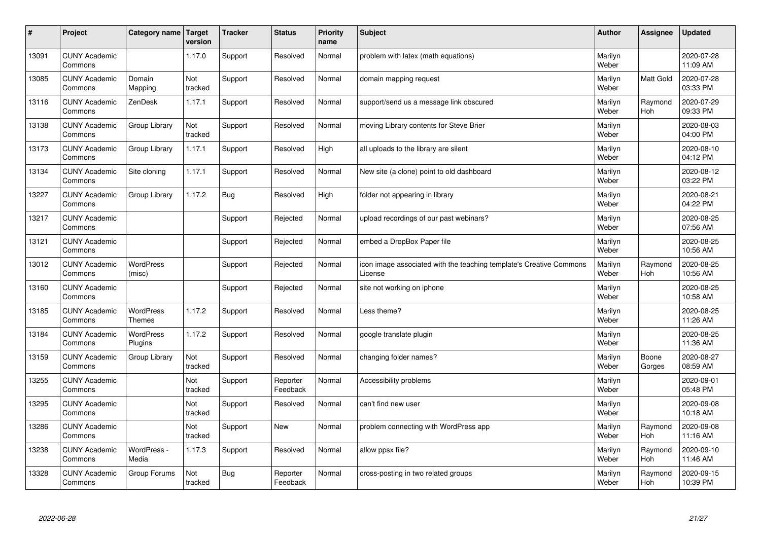| $\sharp$ | Project                         | Category name   Target            | version        | <b>Tracker</b> | <b>Status</b>        | <b>Priority</b><br>name | <b>Subject</b>                                                                 | <b>Author</b>    | Assignee              | <b>Updated</b>         |
|----------|---------------------------------|-----------------------------------|----------------|----------------|----------------------|-------------------------|--------------------------------------------------------------------------------|------------------|-----------------------|------------------------|
| 13091    | <b>CUNY Academic</b><br>Commons |                                   | 1.17.0         | Support        | Resolved             | Normal                  | problem with latex (math equations)                                            | Marilyn<br>Weber |                       | 2020-07-28<br>11:09 AM |
| 13085    | <b>CUNY Academic</b><br>Commons | Domain<br>Mapping                 | Not<br>tracked | Support        | Resolved             | Normal                  | domain mapping request                                                         | Marilyn<br>Weber | <b>Matt Gold</b>      | 2020-07-28<br>03:33 PM |
| 13116    | <b>CUNY Academic</b><br>Commons | ZenDesk                           | 1.17.1         | Support        | Resolved             | Normal                  | support/send us a message link obscured                                        | Marilyn<br>Weber | Raymond<br>Hoh        | 2020-07-29<br>09:33 PM |
| 13138    | <b>CUNY Academic</b><br>Commons | Group Library                     | Not<br>tracked | Support        | Resolved             | Normal                  | moving Library contents for Steve Brier                                        | Marilyn<br>Weber |                       | 2020-08-03<br>04:00 PM |
| 13173    | <b>CUNY Academic</b><br>Commons | Group Library                     | 1.17.1         | Support        | Resolved             | High                    | all uploads to the library are silent                                          | Marilyn<br>Weber |                       | 2020-08-10<br>04:12 PM |
| 13134    | <b>CUNY Academic</b><br>Commons | Site cloning                      | 1.17.1         | Support        | Resolved             | Normal                  | New site (a clone) point to old dashboard                                      | Marilyn<br>Weber |                       | 2020-08-12<br>03:22 PM |
| 13227    | <b>CUNY Academic</b><br>Commons | Group Library                     | 1.17.2         | Bug            | Resolved             | High                    | folder not appearing in library                                                | Marilyn<br>Weber |                       | 2020-08-21<br>04:22 PM |
| 13217    | <b>CUNY Academic</b><br>Commons |                                   |                | Support        | Rejected             | Normal                  | upload recordings of our past webinars?                                        | Marilyn<br>Weber |                       | 2020-08-25<br>07:56 AM |
| 13121    | <b>CUNY Academic</b><br>Commons |                                   |                | Support        | Rejected             | Normal                  | embed a DropBox Paper file                                                     | Marilyn<br>Weber |                       | 2020-08-25<br>10:56 AM |
| 13012    | <b>CUNY Academic</b><br>Commons | <b>WordPress</b><br>(misc)        |                | Support        | Rejected             | Normal                  | icon image associated with the teaching template's Creative Commons<br>License | Marilyn<br>Weber | Raymond<br><b>Hoh</b> | 2020-08-25<br>10:56 AM |
| 13160    | <b>CUNY Academic</b><br>Commons |                                   |                | Support        | Rejected             | Normal                  | site not working on iphone                                                     | Marilyn<br>Weber |                       | 2020-08-25<br>10:58 AM |
| 13185    | <b>CUNY Academic</b><br>Commons | <b>WordPress</b><br><b>Themes</b> | 1.17.2         | Support        | Resolved             | Normal                  | Less theme?                                                                    | Marilyn<br>Weber |                       | 2020-08-25<br>11:26 AM |
| 13184    | <b>CUNY Academic</b><br>Commons | <b>WordPress</b><br>Plugins       | 1.17.2         | Support        | Resolved             | Normal                  | google translate plugin                                                        | Marilyn<br>Weber |                       | 2020-08-25<br>11:36 AM |
| 13159    | <b>CUNY Academic</b><br>Commons | Group Library                     | Not<br>tracked | Support        | Resolved             | Normal                  | changing folder names?                                                         | Marilyn<br>Weber | Boone<br>Gorges       | 2020-08-27<br>08:59 AM |
| 13255    | <b>CUNY Academic</b><br>Commons |                                   | Not<br>tracked | Support        | Reporter<br>Feedback | Normal                  | Accessibility problems                                                         | Marilyn<br>Weber |                       | 2020-09-01<br>05:48 PM |
| 13295    | <b>CUNY Academic</b><br>Commons |                                   | Not<br>tracked | Support        | Resolved             | Normal                  | can't find new user                                                            | Marilyn<br>Weber |                       | 2020-09-08<br>10:18 AM |
| 13286    | <b>CUNY Academic</b><br>Commons |                                   | Not<br>tracked | Support        | <b>New</b>           | Normal                  | problem connecting with WordPress app                                          | Marilyn<br>Weber | Raymond<br>Hoh        | 2020-09-08<br>11:16 AM |
| 13238    | <b>CUNY Academic</b><br>Commons | WordPress -<br>Media              | 1.17.3         | Support        | Resolved             | Normal                  | allow ppsx file?                                                               | Marilyn<br>Weber | Raymond<br>Hoh        | 2020-09-10<br>11:46 AM |
| 13328    | <b>CUNY Academic</b><br>Commons | Group Forums                      | Not<br>tracked | Bug            | Reporter<br>Feedback | Normal                  | cross-posting in two related groups                                            | Marilyn<br>Weber | Raymond<br>Hoh        | 2020-09-15<br>10:39 PM |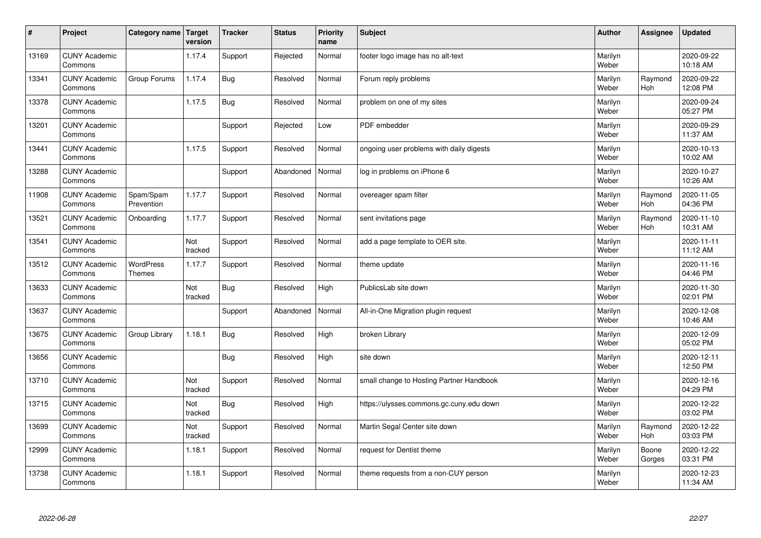| $\sharp$ | Project                         | Category name   Target            | version        | <b>Tracker</b> | <b>Status</b> | <b>Priority</b><br>name | <b>Subject</b>                           | <b>Author</b>    | <b>Assignee</b>       | <b>Updated</b>         |
|----------|---------------------------------|-----------------------------------|----------------|----------------|---------------|-------------------------|------------------------------------------|------------------|-----------------------|------------------------|
| 13169    | <b>CUNY Academic</b><br>Commons |                                   | 1.17.4         | Support        | Rejected      | Normal                  | footer logo image has no alt-text        | Marilyn<br>Weber |                       | 2020-09-22<br>10:18 AM |
| 13341    | <b>CUNY Academic</b><br>Commons | Group Forums                      | 1.17.4         | Bug            | Resolved      | Normal                  | Forum reply problems                     | Marilyn<br>Weber | Raymond<br><b>Hoh</b> | 2020-09-22<br>12:08 PM |
| 13378    | <b>CUNY Academic</b><br>Commons |                                   | 1.17.5         | <b>Bug</b>     | Resolved      | Normal                  | problem on one of my sites               | Marilyn<br>Weber |                       | 2020-09-24<br>05:27 PM |
| 13201    | <b>CUNY Academic</b><br>Commons |                                   |                | Support        | Rejected      | Low                     | PDF embedder                             | Marilyn<br>Weber |                       | 2020-09-29<br>11:37 AM |
| 13441    | <b>CUNY Academic</b><br>Commons |                                   | 1.17.5         | Support        | Resolved      | Normal                  | ongoing user problems with daily digests | Marilyn<br>Weber |                       | 2020-10-13<br>10:02 AM |
| 13288    | <b>CUNY Academic</b><br>Commons |                                   |                | Support        | Abandoned     | Normal                  | log in problems on iPhone 6              | Marilyn<br>Weber |                       | 2020-10-27<br>10:26 AM |
| 11908    | <b>CUNY Academic</b><br>Commons | Spam/Spam<br>Prevention           | 1.17.7         | Support        | Resolved      | Normal                  | overeager spam filter                    | Marilyn<br>Weber | Raymond<br>Hoh        | 2020-11-05<br>04:36 PM |
| 13521    | <b>CUNY Academic</b><br>Commons | Onboarding                        | 1.17.7         | Support        | Resolved      | Normal                  | sent invitations page                    | Marilyn<br>Weber | Raymond<br>Hoh        | 2020-11-10<br>10:31 AM |
| 13541    | <b>CUNY Academic</b><br>Commons |                                   | Not<br>tracked | Support        | Resolved      | Normal                  | add a page template to OER site.         | Marilyn<br>Weber |                       | 2020-11-11<br>11:12 AM |
| 13512    | <b>CUNY Academic</b><br>Commons | <b>WordPress</b><br><b>Themes</b> | 1.17.7         | Support        | Resolved      | Normal                  | theme update                             | Marilyn<br>Weber |                       | 2020-11-16<br>04:46 PM |
| 13633    | <b>CUNY Academic</b><br>Commons |                                   | Not<br>tracked | Bug            | Resolved      | High                    | PublicsLab site down                     | Marilyn<br>Weber |                       | 2020-11-30<br>02:01 PM |
| 13637    | <b>CUNY Academic</b><br>Commons |                                   |                | Support        | Abandoned     | Normal                  | All-in-One Migration plugin request      | Marilyn<br>Weber |                       | 2020-12-08<br>10:46 AM |
| 13675    | <b>CUNY Academic</b><br>Commons | Group Library                     | 1.18.1         | Bug            | Resolved      | High                    | broken Library                           | Marilyn<br>Weber |                       | 2020-12-09<br>05:02 PM |
| 13656    | <b>CUNY Academic</b><br>Commons |                                   |                | <b>Bug</b>     | Resolved      | High                    | site down                                | Marilyn<br>Weber |                       | 2020-12-11<br>12:50 PM |
| 13710    | <b>CUNY Academic</b><br>Commons |                                   | Not<br>tracked | Support        | Resolved      | Normal                  | small change to Hosting Partner Handbook | Marilyn<br>Weber |                       | 2020-12-16<br>04:29 PM |
| 13715    | <b>CUNY Academic</b><br>Commons |                                   | Not<br>tracked | Bug            | Resolved      | High                    | https://ulysses.commons.gc.cuny.edu down | Marilyn<br>Weber |                       | 2020-12-22<br>03:02 PM |
| 13699    | <b>CUNY Academic</b><br>Commons |                                   | Not<br>tracked | Support        | Resolved      | Normal                  | Martin Segal Center site down            | Marilyn<br>Weber | Raymond<br><b>Hoh</b> | 2020-12-22<br>03:03 PM |
| 12999    | <b>CUNY Academic</b><br>Commons |                                   | 1.18.1         | Support        | Resolved      | Normal                  | request for Dentist theme                | Marilyn<br>Weber | Boone<br>Gorges       | 2020-12-22<br>03:31 PM |
| 13738    | <b>CUNY Academic</b><br>Commons |                                   | 1.18.1         | Support        | Resolved      | Normal                  | theme requests from a non-CUY person     | Marilyn<br>Weber |                       | 2020-12-23<br>11:34 AM |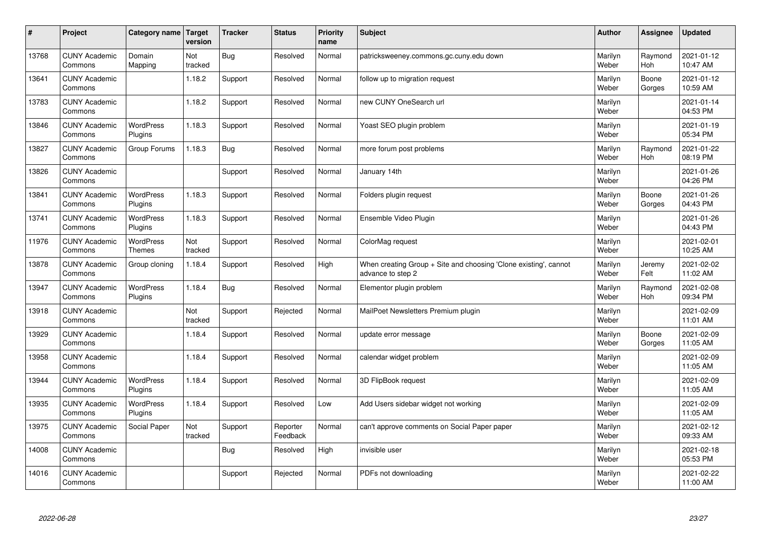| $\sharp$ | Project                         | Category name   Target      | version        | <b>Tracker</b> | <b>Status</b>        | <b>Priority</b><br>name | <b>Subject</b>                                                                        | <b>Author</b>    | Assignee              | <b>Updated</b>         |
|----------|---------------------------------|-----------------------------|----------------|----------------|----------------------|-------------------------|---------------------------------------------------------------------------------------|------------------|-----------------------|------------------------|
| 13768    | <b>CUNY Academic</b><br>Commons | Domain<br>Mapping           | Not<br>tracked | Bug            | Resolved             | Normal                  | patricksweeney.commons.gc.cuny.edu down                                               | Marilyn<br>Weber | Raymond<br><b>Hoh</b> | 2021-01-12<br>10:47 AM |
| 13641    | <b>CUNY Academic</b><br>Commons |                             | 1.18.2         | Support        | Resolved             | Normal                  | follow up to migration request                                                        | Marilyn<br>Weber | Boone<br>Gorges       | 2021-01-12<br>10:59 AM |
| 13783    | <b>CUNY Academic</b><br>Commons |                             | 1.18.2         | Support        | Resolved             | Normal                  | new CUNY OneSearch url                                                                | Marilyn<br>Weber |                       | 2021-01-14<br>04:53 PM |
| 13846    | <b>CUNY Academic</b><br>Commons | <b>WordPress</b><br>Plugins | 1.18.3         | Support        | Resolved             | Normal                  | Yoast SEO plugin problem                                                              | Marilyn<br>Weber |                       | 2021-01-19<br>05:34 PM |
| 13827    | <b>CUNY Academic</b><br>Commons | Group Forums                | 1.18.3         | Bug            | Resolved             | Normal                  | more forum post problems                                                              | Marilyn<br>Weber | Raymond<br><b>Hoh</b> | 2021-01-22<br>08:19 PM |
| 13826    | <b>CUNY Academic</b><br>Commons |                             |                | Support        | Resolved             | Normal                  | January 14th                                                                          | Marilyn<br>Weber |                       | 2021-01-26<br>04:26 PM |
| 13841    | <b>CUNY Academic</b><br>Commons | <b>WordPress</b><br>Plugins | 1.18.3         | Support        | Resolved             | Normal                  | Folders plugin request                                                                | Marilyn<br>Weber | Boone<br>Gorges       | 2021-01-26<br>04:43 PM |
| 13741    | <b>CUNY Academic</b><br>Commons | WordPress<br>Plugins        | 1.18.3         | Support        | Resolved             | Normal                  | Ensemble Video Plugin                                                                 | Marilyn<br>Weber |                       | 2021-01-26<br>04:43 PM |
| 11976    | <b>CUNY Academic</b><br>Commons | WordPress<br><b>Themes</b>  | Not<br>tracked | Support        | Resolved             | Normal                  | ColorMag request                                                                      | Marilyn<br>Weber |                       | 2021-02-01<br>10:25 AM |
| 13878    | <b>CUNY Academic</b><br>Commons | Group cloning               | 1.18.4         | Support        | Resolved             | High                    | When creating Group + Site and choosing 'Clone existing', cannot<br>advance to step 2 | Marilyn<br>Weber | Jeremy<br>Felt        | 2021-02-02<br>11:02 AM |
| 13947    | <b>CUNY Academic</b><br>Commons | <b>WordPress</b><br>Plugins | 1.18.4         | Bug            | Resolved             | Normal                  | Elementor plugin problem                                                              | Marilyn<br>Weber | Raymond<br><b>Hoh</b> | 2021-02-08<br>09:34 PM |
| 13918    | <b>CUNY Academic</b><br>Commons |                             | Not<br>tracked | Support        | Rejected             | Normal                  | MailPoet Newsletters Premium plugin                                                   | Marilyn<br>Weber |                       | 2021-02-09<br>11:01 AM |
| 13929    | <b>CUNY Academic</b><br>Commons |                             | 1.18.4         | Support        | Resolved             | Normal                  | update error message                                                                  | Marilyn<br>Weber | Boone<br>Gorges       | 2021-02-09<br>11:05 AM |
| 13958    | <b>CUNY Academic</b><br>Commons |                             | 1.18.4         | Support        | Resolved             | Normal                  | calendar widget problem                                                               | Marilyn<br>Weber |                       | 2021-02-09<br>11:05 AM |
| 13944    | <b>CUNY Academic</b><br>Commons | WordPress<br>Plugins        | 1.18.4         | Support        | Resolved             | Normal                  | 3D FlipBook request                                                                   | Marilyn<br>Weber |                       | 2021-02-09<br>11:05 AM |
| 13935    | <b>CUNY Academic</b><br>Commons | <b>WordPress</b><br>Plugins | 1.18.4         | Support        | Resolved             | Low                     | Add Users sidebar widget not working                                                  | Marilyn<br>Weber |                       | 2021-02-09<br>11:05 AM |
| 13975    | <b>CUNY Academic</b><br>Commons | Social Paper                | Not<br>tracked | Support        | Reporter<br>Feedback | Normal                  | can't approve comments on Social Paper paper                                          | Marilyn<br>Weber |                       | 2021-02-12<br>09:33 AM |
| 14008    | <b>CUNY Academic</b><br>Commons |                             |                | Bug            | Resolved             | High                    | invisible user                                                                        | Marilyn<br>Weber |                       | 2021-02-18<br>05:53 PM |
| 14016    | <b>CUNY Academic</b><br>Commons |                             |                | Support        | Rejected             | Normal                  | PDFs not downloading                                                                  | Marilyn<br>Weber |                       | 2021-02-22<br>11:00 AM |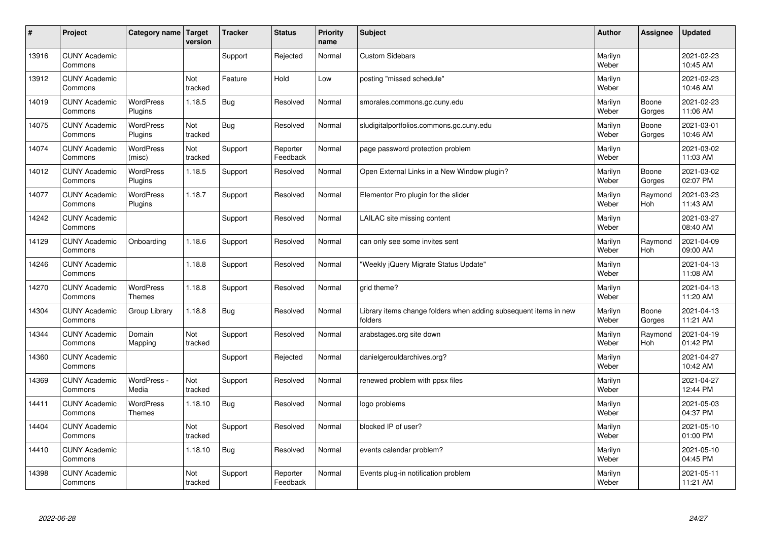| #     | Project                         | Category name   Target             | version        | <b>Tracker</b> | <b>Status</b>        | <b>Priority</b><br>name | <b>Subject</b>                                                              | <b>Author</b>    | <b>Assignee</b> | <b>Updated</b>         |
|-------|---------------------------------|------------------------------------|----------------|----------------|----------------------|-------------------------|-----------------------------------------------------------------------------|------------------|-----------------|------------------------|
| 13916 | <b>CUNY Academic</b><br>Commons |                                    |                | Support        | Rejected             | Normal                  | <b>Custom Sidebars</b>                                                      | Marilyn<br>Weber |                 | 2021-02-23<br>10:45 AM |
| 13912 | <b>CUNY Academic</b><br>Commons |                                    | Not<br>tracked | Feature        | Hold                 | Low                     | posting "missed schedule"                                                   | Marilyn<br>Weber |                 | 2021-02-23<br>10:46 AM |
| 14019 | <b>CUNY Academic</b><br>Commons | <b>WordPress</b><br>Plugins        | 1.18.5         | Bug            | Resolved             | Normal                  | smorales.commons.gc.cuny.edu                                                | Marilyn<br>Weber | Boone<br>Gorges | 2021-02-23<br>11:06 AM |
| 14075 | <b>CUNY Academic</b><br>Commons | <b>WordPress</b><br>Plugins        | Not<br>tracked | <b>Bug</b>     | Resolved             | Normal                  | sludigitalportfolios.commons.gc.cuny.edu                                    | Marilyn<br>Weber | Boone<br>Gorges | 2021-03-01<br>10:46 AM |
| 14074 | <b>CUNY Academic</b><br>Commons | <b>WordPress</b><br>(misc)         | Not<br>tracked | Support        | Reporter<br>Feedback | Normal                  | page password protection problem                                            | Marilyn<br>Weber |                 | 2021-03-02<br>11:03 AM |
| 14012 | <b>CUNY Academic</b><br>Commons | <b>WordPress</b><br><b>Plugins</b> | 1.18.5         | Support        | Resolved             | Normal                  | Open External Links in a New Window plugin?                                 | Marilyn<br>Weber | Boone<br>Gorges | 2021-03-02<br>02:07 PM |
| 14077 | <b>CUNY Academic</b><br>Commons | <b>WordPress</b><br>Plugins        | 1.18.7         | Support        | Resolved             | Normal                  | Elementor Pro plugin for the slider                                         | Marilyn<br>Weber | Raymond<br>Hoh  | 2021-03-23<br>11:43 AM |
| 14242 | <b>CUNY Academic</b><br>Commons |                                    |                | Support        | Resolved             | Normal                  | LAILAC site missing content                                                 | Marilyn<br>Weber |                 | 2021-03-27<br>08:40 AM |
| 14129 | <b>CUNY Academic</b><br>Commons | Onboarding                         | 1.18.6         | Support        | Resolved             | Normal                  | can only see some invites sent                                              | Marilyn<br>Weber | Raymond<br>Hoh  | 2021-04-09<br>09:00 AM |
| 14246 | <b>CUNY Academic</b><br>Commons |                                    | 1.18.8         | Support        | Resolved             | Normal                  | 'Weekly jQuery Migrate Status Update"                                       | Marilyn<br>Weber |                 | 2021-04-13<br>11:08 AM |
| 14270 | <b>CUNY Academic</b><br>Commons | <b>WordPress</b><br><b>Themes</b>  | 1.18.8         | Support        | Resolved             | Normal                  | grid theme?                                                                 | Marilyn<br>Weber |                 | 2021-04-13<br>11:20 AM |
| 14304 | <b>CUNY Academic</b><br>Commons | Group Library                      | 1.18.8         | Bug            | Resolved             | Normal                  | Library items change folders when adding subsequent items in new<br>folders | Marilyn<br>Weber | Boone<br>Gorges | 2021-04-13<br>11:21 AM |
| 14344 | <b>CUNY Academic</b><br>Commons | Domain<br>Mapping                  | Not<br>tracked | Support        | Resolved             | Normal                  | arabstages.org site down                                                    | Marilyn<br>Weber | Raymond<br>Hoh  | 2021-04-19<br>01:42 PM |
| 14360 | <b>CUNY Academic</b><br>Commons |                                    |                | Support        | Rejected             | Normal                  | danielgerouldarchives.org?                                                  | Marilyn<br>Weber |                 | 2021-04-27<br>10:42 AM |
| 14369 | <b>CUNY Academic</b><br>Commons | WordPress -<br>Media               | Not<br>tracked | Support        | Resolved             | Normal                  | renewed problem with ppsx files                                             | Marilyn<br>Weber |                 | 2021-04-27<br>12:44 PM |
| 14411 | <b>CUNY Academic</b><br>Commons | <b>WordPress</b><br><b>Themes</b>  | 1.18.10        | Bug            | Resolved             | Normal                  | logo problems                                                               | Marilyn<br>Weber |                 | 2021-05-03<br>04:37 PM |
| 14404 | <b>CUNY Academic</b><br>Commons |                                    | Not<br>tracked | Support        | Resolved             | Normal                  | blocked IP of user?                                                         | Marilyn<br>Weber |                 | 2021-05-10<br>01:00 PM |
| 14410 | <b>CUNY Academic</b><br>Commons |                                    | 1.18.10        | Bug            | Resolved             | Normal                  | events calendar problem?                                                    | Marilyn<br>Weber |                 | 2021-05-10<br>04:45 PM |
| 14398 | <b>CUNY Academic</b><br>Commons |                                    | Not<br>tracked | Support        | Reporter<br>Feedback | Normal                  | Events plug-in notification problem                                         | Marilyn<br>Weber |                 | 2021-05-11<br>11:21 AM |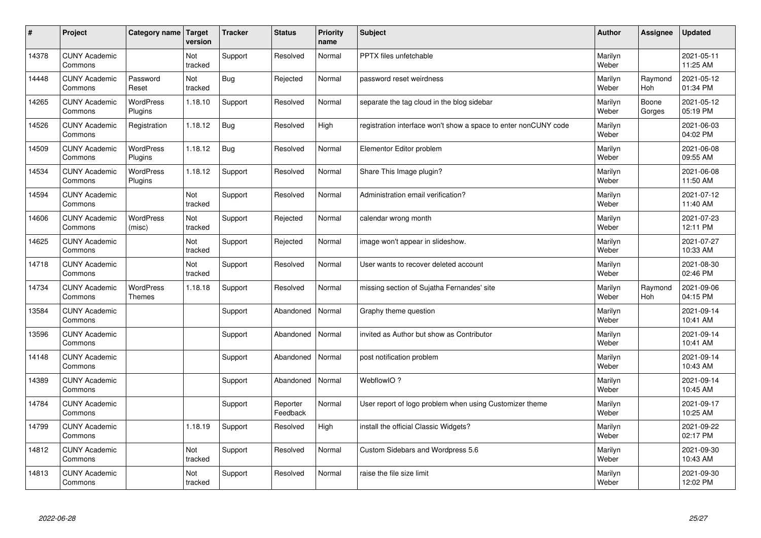| $\vert$ # | Project                         | Category name Target        | version        | <b>Tracker</b> | <b>Status</b>        | <b>Priority</b><br>name | <b>Subject</b>                                                  | <b>Author</b>    | <b>Assignee</b> | <b>Updated</b>         |
|-----------|---------------------------------|-----------------------------|----------------|----------------|----------------------|-------------------------|-----------------------------------------------------------------|------------------|-----------------|------------------------|
| 14378     | <b>CUNY Academic</b><br>Commons |                             | Not<br>tracked | Support        | Resolved             | Normal                  | PPTX files unfetchable                                          | Marilyn<br>Weber |                 | 2021-05-11<br>11:25 AM |
| 14448     | <b>CUNY Academic</b><br>Commons | Password<br>Reset           | Not<br>tracked | <b>Bug</b>     | Rejected             | Normal                  | password reset weirdness                                        | Marilyn<br>Weber | Raymond<br>Hoh  | 2021-05-12<br>01:34 PM |
| 14265     | <b>CUNY Academic</b><br>Commons | WordPress<br>Plugins        | 1.18.10        | Support        | Resolved             | Normal                  | separate the tag cloud in the blog sidebar                      | Marilyn<br>Weber | Boone<br>Gorges | 2021-05-12<br>05:19 PM |
| 14526     | <b>CUNY Academic</b><br>Commons | Registration                | 1.18.12        | Bug            | Resolved             | High                    | registration interface won't show a space to enter nonCUNY code | Marilyn<br>Weber |                 | 2021-06-03<br>04:02 PM |
| 14509     | <b>CUNY Academic</b><br>Commons | <b>WordPress</b><br>Plugins | 1.18.12        | <b>Bug</b>     | Resolved             | Normal                  | Elementor Editor problem                                        | Marilyn<br>Weber |                 | 2021-06-08<br>09:55 AM |
| 14534     | <b>CUNY Academic</b><br>Commons | <b>WordPress</b><br>Plugins | 1.18.12        | Support        | Resolved             | Normal                  | Share This Image plugin?                                        | Marilyn<br>Weber |                 | 2021-06-08<br>11:50 AM |
| 14594     | <b>CUNY Academic</b><br>Commons |                             | Not<br>tracked | Support        | Resolved             | Normal                  | Administration email verification?                              | Marilyn<br>Weber |                 | 2021-07-12<br>11:40 AM |
| 14606     | <b>CUNY Academic</b><br>Commons | WordPress<br>(misc)         | Not<br>tracked | Support        | Rejected             | Normal                  | calendar wrong month                                            | Marilyn<br>Weber |                 | 2021-07-23<br>12:11 PM |
| 14625     | <b>CUNY Academic</b><br>Commons |                             | Not<br>tracked | Support        | Rejected             | Normal                  | image won't appear in slideshow.                                | Marilyn<br>Weber |                 | 2021-07-27<br>10:33 AM |
| 14718     | <b>CUNY Academic</b><br>Commons |                             | Not<br>tracked | Support        | Resolved             | Normal                  | User wants to recover deleted account                           | Marilyn<br>Weber |                 | 2021-08-30<br>02:46 PM |
| 14734     | <b>CUNY Academic</b><br>Commons | WordPress<br><b>Themes</b>  | 1.18.18        | Support        | Resolved             | Normal                  | missing section of Sujatha Fernandes' site                      | Marilyn<br>Weber | Raymond<br>Hoh  | 2021-09-06<br>04:15 PM |
| 13584     | <b>CUNY Academic</b><br>Commons |                             |                | Support        | Abandoned            | Normal                  | Graphy theme question                                           | Marilyn<br>Weber |                 | 2021-09-14<br>10:41 AM |
| 13596     | <b>CUNY Academic</b><br>Commons |                             |                | Support        | Abandoned            | Normal                  | invited as Author but show as Contributor                       | Marilyn<br>Weber |                 | 2021-09-14<br>10:41 AM |
| 14148     | <b>CUNY Academic</b><br>Commons |                             |                | Support        | Abandoned            | Normal                  | post notification problem                                       | Marilyn<br>Weber |                 | 2021-09-14<br>10:43 AM |
| 14389     | <b>CUNY Academic</b><br>Commons |                             |                | Support        | Abandoned            | Normal                  | WebflowIO?                                                      | Marilyn<br>Weber |                 | 2021-09-14<br>10:45 AM |
| 14784     | <b>CUNY Academic</b><br>Commons |                             |                | Support        | Reporter<br>Feedback | Normal                  | User report of logo problem when using Customizer theme         | Marilyn<br>Weber |                 | 2021-09-17<br>10:25 AM |
| 14799     | <b>CUNY Academic</b><br>Commons |                             | 1.18.19        | Support        | Resolved             | High                    | install the official Classic Widgets?                           | Marilyn<br>Weber |                 | 2021-09-22<br>02:17 PM |
| 14812     | <b>CUNY Academic</b><br>Commons |                             | Not<br>tracked | Support        | Resolved             | Normal                  | Custom Sidebars and Wordpress 5.6                               | Marilyn<br>Weber |                 | 2021-09-30<br>10:43 AM |
| 14813     | <b>CUNY Academic</b><br>Commons |                             | Not<br>tracked | Support        | Resolved             | Normal                  | raise the file size limit                                       | Marilyn<br>Weber |                 | 2021-09-30<br>12:02 PM |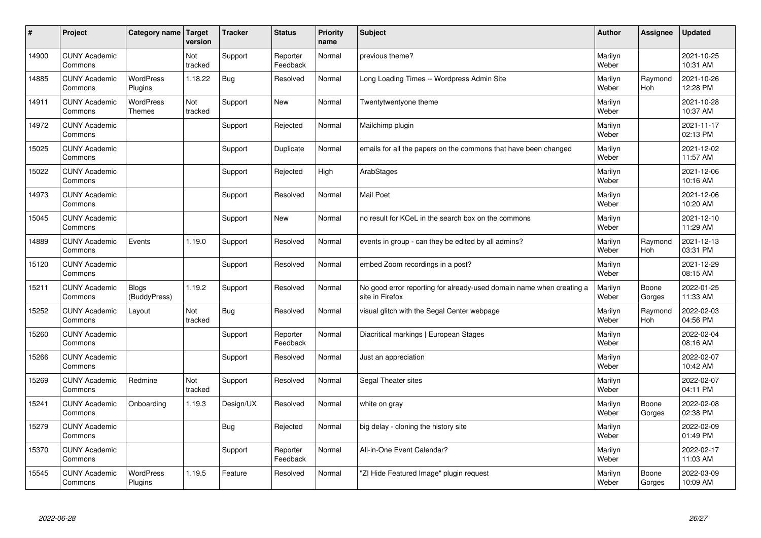| $\vert$ # | Project                         | Category name                     | <b>Target</b><br>version | <b>Tracker</b> | <b>Status</b>        | <b>Priority</b><br>name | <b>Subject</b>                                                                          | <b>Author</b>    | Assignee        | <b>Updated</b>         |
|-----------|---------------------------------|-----------------------------------|--------------------------|----------------|----------------------|-------------------------|-----------------------------------------------------------------------------------------|------------------|-----------------|------------------------|
| 14900     | <b>CUNY Academic</b><br>Commons |                                   | Not<br>tracked           | Support        | Reporter<br>Feedback | Normal                  | previous theme?                                                                         | Marilyn<br>Weber |                 | 2021-10-25<br>10:31 AM |
| 14885     | <b>CUNY Academic</b><br>Commons | <b>WordPress</b><br>Plugins       | 1.18.22                  | Bug            | Resolved             | Normal                  | Long Loading Times -- Wordpress Admin Site                                              | Marilyn<br>Weber | Raymond<br>Hoh  | 2021-10-26<br>12:28 PM |
| 14911     | <b>CUNY Academic</b><br>Commons | <b>WordPress</b><br><b>Themes</b> | Not<br>tracked           | Support        | <b>New</b>           | Normal                  | Twentytwentyone theme                                                                   | Marilyn<br>Weber |                 | 2021-10-28<br>10:37 AM |
| 14972     | <b>CUNY Academic</b><br>Commons |                                   |                          | Support        | Rejected             | Normal                  | Mailchimp plugin                                                                        | Marilyn<br>Weber |                 | 2021-11-17<br>02:13 PM |
| 15025     | <b>CUNY Academic</b><br>Commons |                                   |                          | Support        | Duplicate            | Normal                  | emails for all the papers on the commons that have been changed                         | Marilyn<br>Weber |                 | 2021-12-02<br>11:57 AM |
| 15022     | <b>CUNY Academic</b><br>Commons |                                   |                          | Support        | Rejected             | High                    | ArabStages                                                                              | Marilyn<br>Weber |                 | 2021-12-06<br>10:16 AM |
| 14973     | <b>CUNY Academic</b><br>Commons |                                   |                          | Support        | Resolved             | Normal                  | <b>Mail Poet</b>                                                                        | Marilyn<br>Weber |                 | 2021-12-06<br>10:20 AM |
| 15045     | <b>CUNY Academic</b><br>Commons |                                   |                          | Support        | <b>New</b>           | Normal                  | no result for KCeL in the search box on the commons                                     | Marilyn<br>Weber |                 | 2021-12-10<br>11:29 AM |
| 14889     | <b>CUNY Academic</b><br>Commons | Events                            | 1.19.0                   | Support        | Resolved             | Normal                  | events in group - can they be edited by all admins?                                     | Marilyn<br>Weber | Raymond<br>Hoh  | 2021-12-13<br>03:31 PM |
| 15120     | <b>CUNY Academic</b><br>Commons |                                   |                          | Support        | Resolved             | Normal                  | embed Zoom recordings in a post?                                                        | Marilyn<br>Weber |                 | 2021-12-29<br>08:15 AM |
| 15211     | <b>CUNY Academic</b><br>Commons | <b>Blogs</b><br>(BuddyPress)      | 1.19.2                   | Support        | Resolved             | Normal                  | No good error reporting for already-used domain name when creating a<br>site in Firefox | Marilyn<br>Weber | Boone<br>Gorges | 2022-01-25<br>11:33 AM |
| 15252     | <b>CUNY Academic</b><br>Commons | Layout                            | Not<br>tracked           | Bug            | Resolved             | Normal                  | visual glitch with the Segal Center webpage                                             | Marilyn<br>Weber | Raymond<br>Hoh  | 2022-02-03<br>04:56 PM |
| 15260     | <b>CUNY Academic</b><br>Commons |                                   |                          | Support        | Reporter<br>Feedback | Normal                  | Diacritical markings   European Stages                                                  | Marilyn<br>Weber |                 | 2022-02-04<br>08:16 AM |
| 15266     | <b>CUNY Academic</b><br>Commons |                                   |                          | Support        | Resolved             | Normal                  | Just an appreciation                                                                    | Marilyn<br>Weber |                 | 2022-02-07<br>10:42 AM |
| 15269     | <b>CUNY Academic</b><br>Commons | Redmine                           | Not<br>tracked           | Support        | Resolved             | Normal                  | Segal Theater sites                                                                     | Marilyn<br>Weber |                 | 2022-02-07<br>04:11 PM |
| 15241     | <b>CUNY Academic</b><br>Commons | Onboarding                        | 1.19.3                   | Design/UX      | Resolved             | Normal                  | white on gray                                                                           | Marilyn<br>Weber | Boone<br>Gorges | 2022-02-08<br>02:38 PM |
| 15279     | <b>CUNY Academic</b><br>Commons |                                   |                          | Bug            | Rejected             | Normal                  | big delay - cloning the history site                                                    | Marilyn<br>Weber |                 | 2022-02-09<br>01:49 PM |
| 15370     | <b>CUNY Academic</b><br>Commons |                                   |                          | Support        | Reporter<br>Feedback | Normal                  | All-in-One Event Calendar?                                                              | Marilyn<br>Weber |                 | 2022-02-17<br>11:03 AM |
| 15545     | <b>CUNY Academic</b><br>Commons | <b>WordPress</b><br>Plugins       | 1.19.5                   | Feature        | Resolved             | Normal                  | 'ZI Hide Featured Image" plugin reguest                                                 | Marilyn<br>Weber | Boone<br>Gorges | 2022-03-09<br>10:09 AM |